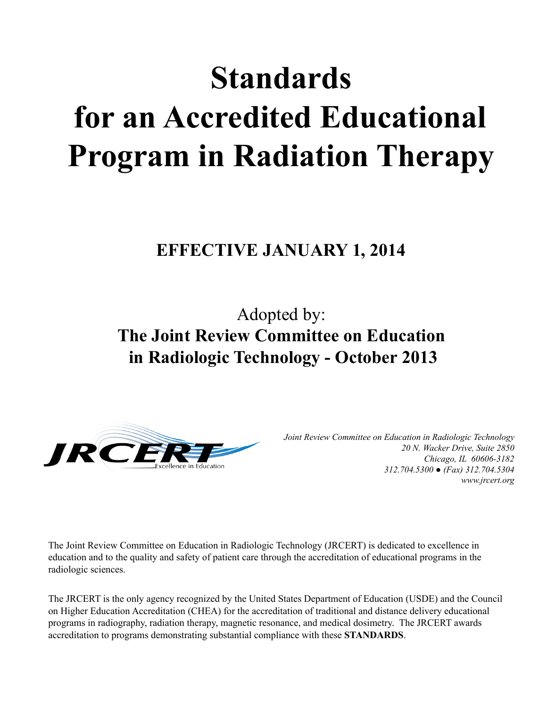# **Standards for an Accredited Educational Program in Radiation Therapy**

# **EFFECTIVE JANUARY 1, 2014**

Adopted by: **The Joint Review Committee on Education in Radiologic Technology - October 2013**



*Joint Review Committee on Education in Radiologic Technology 20 N. Wacker Drive, Suite 2850 Chicago, IL 60606-3182 312.704.5300 ● (Fax) 312.704.5304 www.jrcert.org*

The Joint Review Committee on Education in Radiologic Technology (JRCERT) is dedicated to excellence in education and to the quality and safety of patient care through the accreditation of educational programs in the radiologic sciences.

The JRCERT is the only agency recognized by the United States Department of Education (USDE) and the Council on Higher Education Accreditation (CHEA) for the accreditation of traditional and distance delivery educational programs in radiography, radiation therapy, magnetic resonance, and medical dosimetry. The JRCERT awards accreditation to programs demonstrating substantial compliance with these **STANDARDS**.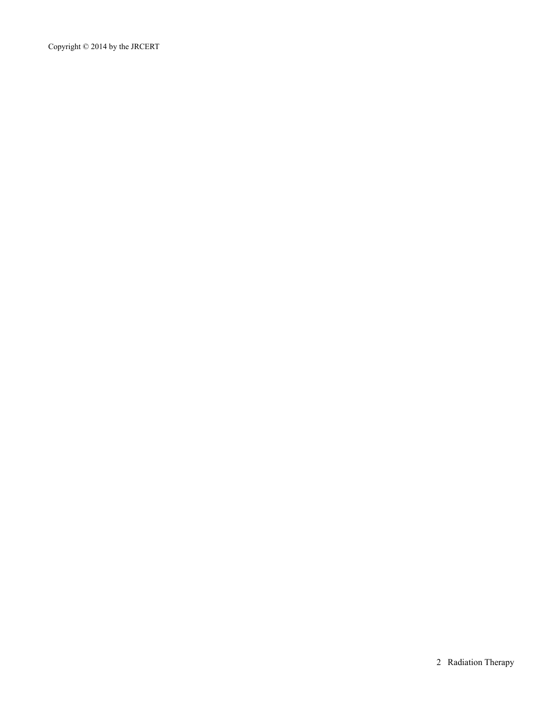Copyright © 2014 by the JRCERT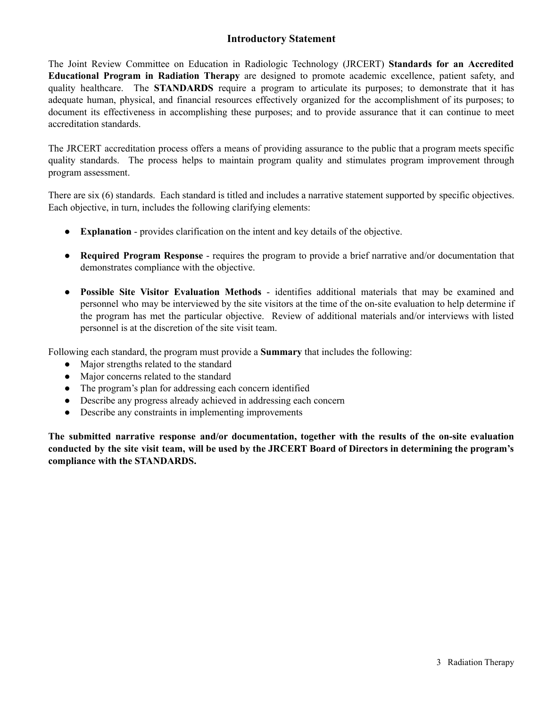#### **Introductory Statement**

The Joint Review Committee on Education in Radiologic Technology (JRCERT) **Standards for an Accredited Educational Program in Radiation Therapy** are designed to promote academic excellence, patient safety, and quality healthcare. The **STANDARDS** require a program to articulate its purposes; to demonstrate that it has adequate human, physical, and financial resources effectively organized for the accomplishment of its purposes; to document its effectiveness in accomplishing these purposes; and to provide assurance that it can continue to meet accreditation standards.

The JRCERT accreditation process offers a means of providing assurance to the public that a program meets specific quality standards. The process helps to maintain program quality and stimulates program improvement through program assessment.

There are six (6) standards. Each standard is titled and includes a narrative statement supported by specific objectives. Each objective, in turn, includes the following clarifying elements:

- **Explanation** provides clarification on the intent and key details of the objective.
- **Required Program Response** requires the program to provide a brief narrative and/or documentation that demonstrates compliance with the objective.
- **Possible Site Visitor Evaluation Methods** identifies additional materials that may be examined and personnel who may be interviewed by the site visitors at the time of the on-site evaluation to help determine if the program has met the particular objective. Review of additional materials and/or interviews with listed personnel is at the discretion of the site visit team.

Following each standard, the program must provide a **Summary** that includes the following:

- Major strengths related to the standard
- Major concerns related to the standard
- The program's plan for addressing each concern identified
- Describe any progress already achieved in addressing each concern
- Describe any constraints in implementing improvements

**The submitted narrative response and/or documentation, together with the results of the on-site evaluation** conducted by the site visit team, will be used by the JRCERT Board of Directors in determining the program's **compliance with the STANDARDS.**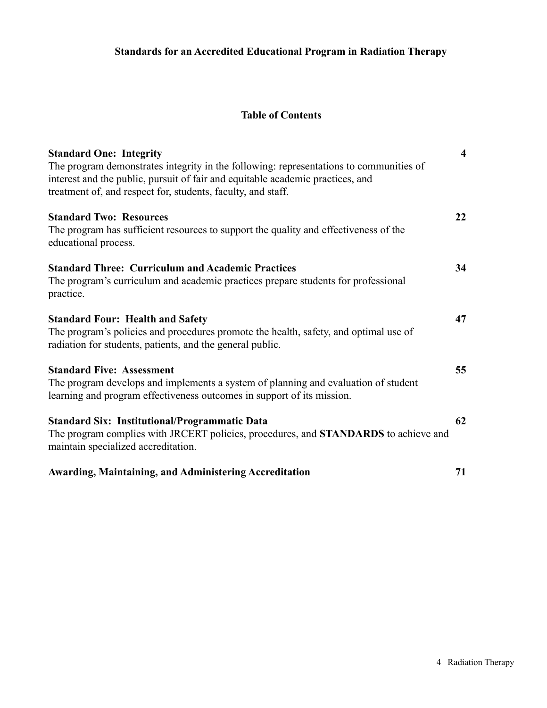# **Table of Contents**

| <b>Standard One: Integrity</b><br>The program demonstrates integrity in the following: representations to communities of<br>interest and the public, pursuit of fair and equitable academic practices, and | $\overline{\mathbf{4}}$ |
|------------------------------------------------------------------------------------------------------------------------------------------------------------------------------------------------------------|-------------------------|
| treatment of, and respect for, students, faculty, and staff.                                                                                                                                               |                         |
| <b>Standard Two: Resources</b><br>The program has sufficient resources to support the quality and effectiveness of the<br>educational process.                                                             | 22                      |
| <b>Standard Three: Curriculum and Academic Practices</b><br>The program's curriculum and academic practices prepare students for professional<br>practice.                                                 | 34                      |
| <b>Standard Four: Health and Safety</b><br>The program's policies and procedures promote the health, safety, and optimal use of<br>radiation for students, patients, and the general public.               | 47                      |
| <b>Standard Five: Assessment</b><br>The program develops and implements a system of planning and evaluation of student<br>learning and program effectiveness outcomes in support of its mission.           | 55                      |
| <b>Standard Six: Institutional/Programmatic Data</b><br>The program complies with JRCERT policies, procedures, and <b>STANDARDS</b> to achieve and<br>maintain specialized accreditation.                  | 62                      |
| <b>Awarding, Maintaining, and Administering Accreditation</b>                                                                                                                                              | 71                      |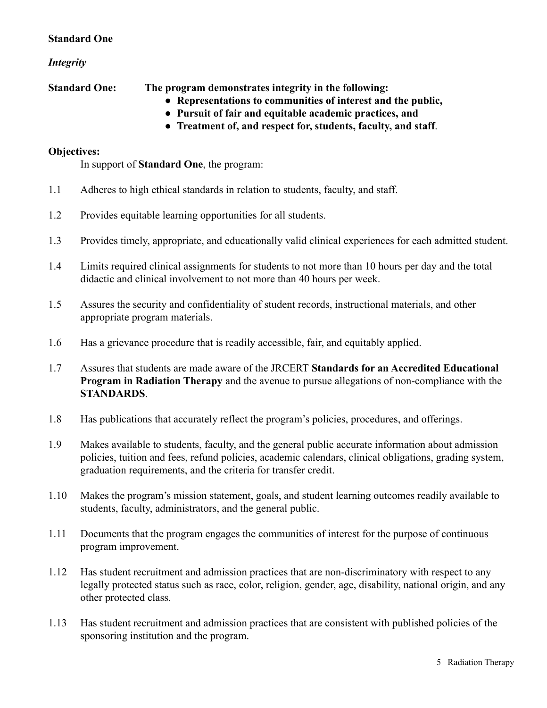# **Standard One**

*Integrity*

# **Standard One: The program demonstrates integrity in the following:**

- **Representations to communities of interest and the public,**
- **Pursuit of fair and equitable academic practices, and**
- **Treatment of, and respect for, students, faculty, and staff**.

#### **Objectives:**

In support of **Standard One**, the program:

- 1.1 Adheres to high ethical standards in relation to students, faculty, and staff.
- 1.2 Provides equitable learning opportunities for all students.
- 1.3 Provides timely, appropriate, and educationally valid clinical experiences for each admitted student.
- 1.4 Limits required clinical assignments for students to not more than 10 hours per day and the total didactic and clinical involvement to not more than 40 hours per week.
- 1.5 Assures the security and confidentiality of student records, instructional materials, and other appropriate program materials.
- 1.6 Has a grievance procedure that is readily accessible, fair, and equitably applied.
- 1.7 Assures that students are made aware of the JRCERT **Standards for an Accredited Educational Program in Radiation Therapy** and the avenue to pursue allegations of non-compliance with the **STANDARDS**.
- 1.8 Has publications that accurately reflect the program's policies, procedures, and offerings.
- 1.9 Makes available to students, faculty, and the general public accurate information about admission policies, tuition and fees, refund policies, academic calendars, clinical obligations, grading system, graduation requirements, and the criteria for transfer credit.
- 1.10 Makes the program's mission statement, goals, and student learning outcomes readily available to students, faculty, administrators, and the general public.
- 1.11 Documents that the program engages the communities of interest for the purpose of continuous program improvement.
- 1.12 Has student recruitment and admission practices that are non-discriminatory with respect to any legally protected status such as race, color, religion, gender, age, disability, national origin, and any other protected class.
- 1.13 Has student recruitment and admission practices that are consistent with published policies of the sponsoring institution and the program.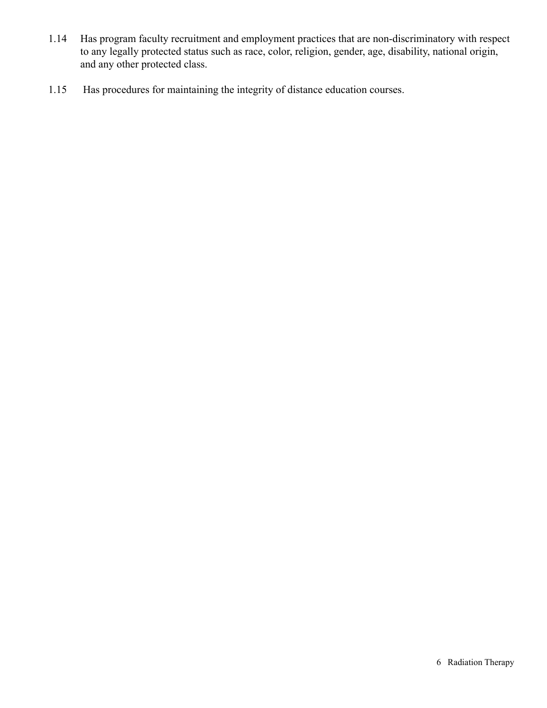- 1.14 Has program faculty recruitment and employment practices that are non-discriminatory with respect to any legally protected status such as race, color, religion, gender, age, disability, national origin, and any other protected class.
- 1.15 Has procedures for maintaining the integrity of distance education courses.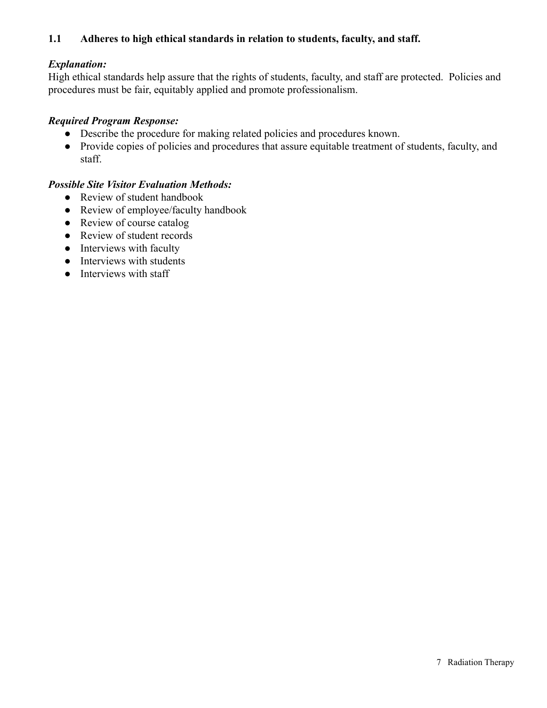# **1.1 Adheres to high ethical standards in relation to students, faculty, and staff.**

# *Explanation:*

High ethical standards help assure that the rights of students, faculty, and staff are protected. Policies and procedures must be fair, equitably applied and promote professionalism.

#### *Required Program Response:*

- Describe the procedure for making related policies and procedures known.
- Provide copies of policies and procedures that assure equitable treatment of students, faculty, and staff.

- Review of student handbook
- Review of employee/faculty handbook
- Review of course catalog
- Review of student records
- Interviews with faculty
- Interviews with students
- Interviews with staff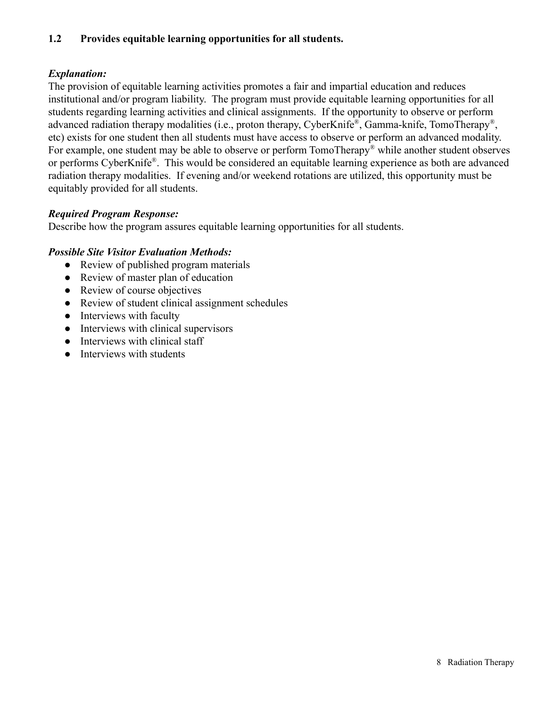# **1.2 Provides equitable learning opportunities for all students.**

# *Explanation:*

The provision of equitable learning activities promotes a fair and impartial education and reduces institutional and/or program liability. The program must provide equitable learning opportunities for all students regarding learning activities and clinical assignments. If the opportunity to observe or perform advanced radiation therapy modalities (i.e., proton therapy, CyberKnife®, Gamma-knife, TomoTherapy®, etc) exists for one student then all students must have access to observe or perform an advanced modality. For example, one student may be able to observe or perform TomoTherapy<sup>®</sup> while another student observes or performs CyberKnife®. This would be considered an equitable learning experience as both are advanced radiation therapy modalities. If evening and/or weekend rotations are utilized, this opportunity must be equitably provided for all students.

# *Required Program Response:*

Describe how the program assures equitable learning opportunities for all students.

- Review of published program materials
- Review of master plan of education
- Review of course objectives
- Review of student clinical assignment schedules
- Interviews with faculty
- Interviews with clinical supervisors
- Interviews with clinical staff
- Interviews with students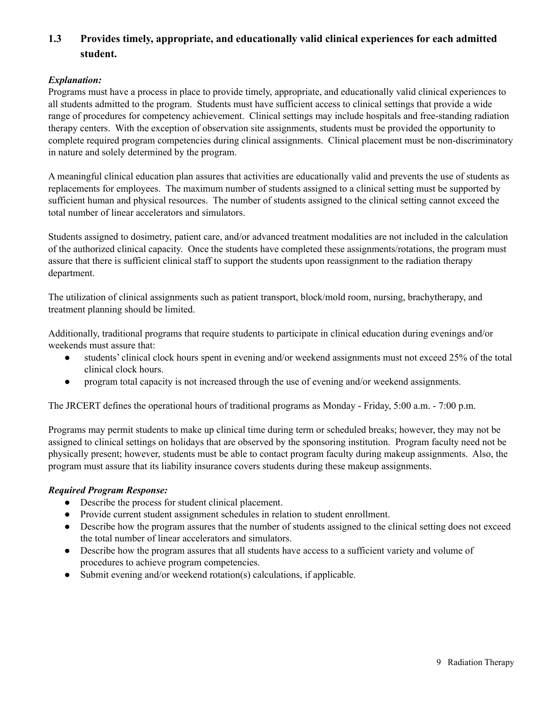# **1.3 Provides timely, appropriate, and educationally valid clinical experiences for each admitted student.**

#### *Explanation:*

Programs must have a process in place to provide timely, appropriate, and educationally valid clinical experiences to all students admitted to the program. Students must have sufficient access to clinical settings that provide a wide range of procedures for competency achievement. Clinical settings may include hospitals and free-standing radiation therapy centers. With the exception of observation site assignments, students must be provided the opportunity to complete required program competencies during clinical assignments. Clinical placement must be non-discriminatory in nature and solely determined by the program.

A meaningful clinical education plan assures that activities are educationally valid and prevents the use of students as replacements for employees. The maximum number of students assigned to a clinical setting must be supported by sufficient human and physical resources. The number of students assigned to the clinical setting cannot exceed the total number of linear accelerators and simulators.

Students assigned to dosimetry, patient care, and/or advanced treatment modalities are not included in the calculation of the authorized clinical capacity. Once the students have completed these assignments/rotations, the program must assure that there is sufficient clinical staff to support the students upon reassignment to the radiation therapy department.

The utilization of clinical assignments such as patient transport, block/mold room, nursing, brachytherapy, and treatment planning should be limited.

Additionally, traditional programs that require students to participate in clinical education during evenings and/or weekends must assure that:

- students' clinical clock hours spent in evening and/or weekend assignments must not exceed 25% of the total clinical clock hours.
- program total capacity is not increased through the use of evening and/or weekend assignments.

The JRCERT defines the operational hours of traditional programs as Monday - Friday, 5:00 a.m. - 7:00 p.m.

Programs may permit students to make up clinical time during term or scheduled breaks; however, they may not be assigned to clinical settings on holidays that are observed by the sponsoring institution. Program faculty need not be physically present; however, students must be able to contact program faculty during makeup assignments. Also, the program must assure that its liability insurance covers students during these makeup assignments.

#### *Required Program Response:*

- Describe the process for student clinical placement.
- Provide current student assignment schedules in relation to student enrollment.
- Describe how the program assures that the number of students assigned to the clinical setting does not exceed the total number of linear accelerators and simulators.
- Describe how the program assures that all students have access to a sufficient variety and volume of procedures to achieve program competencies.
- Submit evening and/or weekend rotation(s) calculations, if applicable.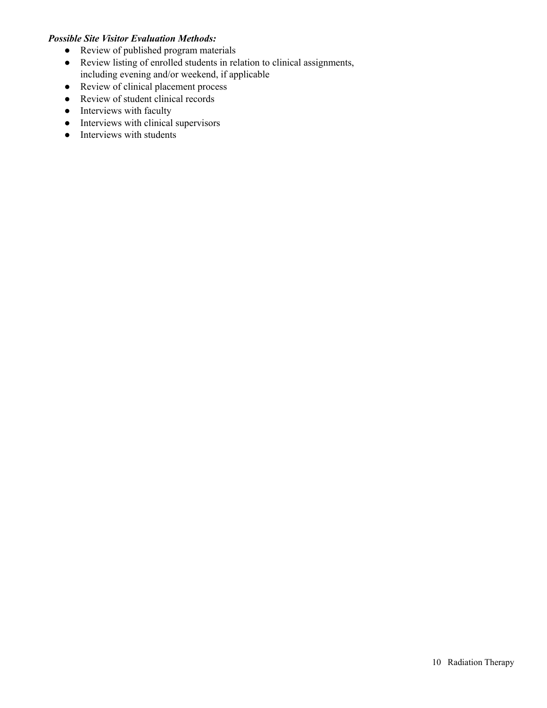- Review of published program materials
- Review listing of enrolled students in relation to clinical assignments, including evening and/or weekend, if applicable
- Review of clinical placement process
- Review of student clinical records
- Interviews with faculty
- Interviews with clinical supervisors
- Interviews with students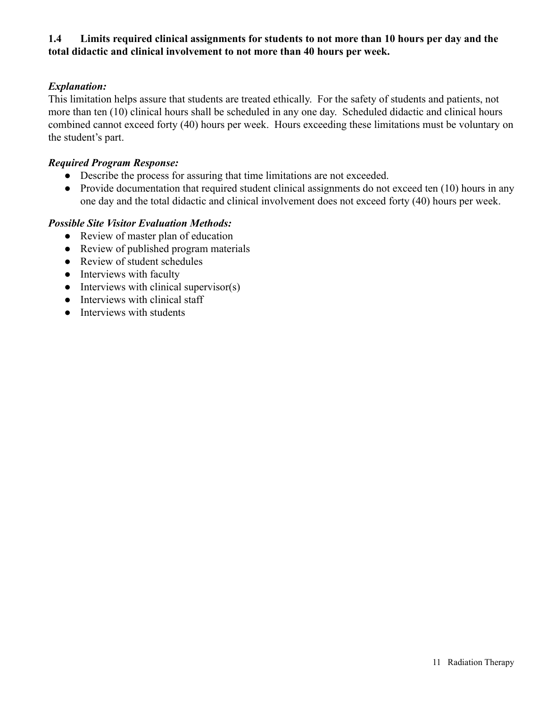# **1.4 Limits required clinical assignments for students to not more than 10 hours per day and the total didactic and clinical involvement to not more than 40 hours per week.**

# *Explanation:*

This limitation helps assure that students are treated ethically. For the safety of students and patients, not more than ten (10) clinical hours shall be scheduled in any one day. Scheduled didactic and clinical hours combined cannot exceed forty (40) hours per week. Hours exceeding these limitations must be voluntary on the student's part.

# *Required Program Response:*

- Describe the process for assuring that time limitations are not exceeded.
- Provide documentation that required student clinical assignments do not exceed ten (10) hours in any one day and the total didactic and clinical involvement does not exceed forty (40) hours per week.

- Review of master plan of education
- Review of published program materials
- Review of student schedules
- Interviews with faculty
- $\bullet$  Interviews with clinical supervisor(s)
- Interviews with clinical staff
- **•** Interviews with students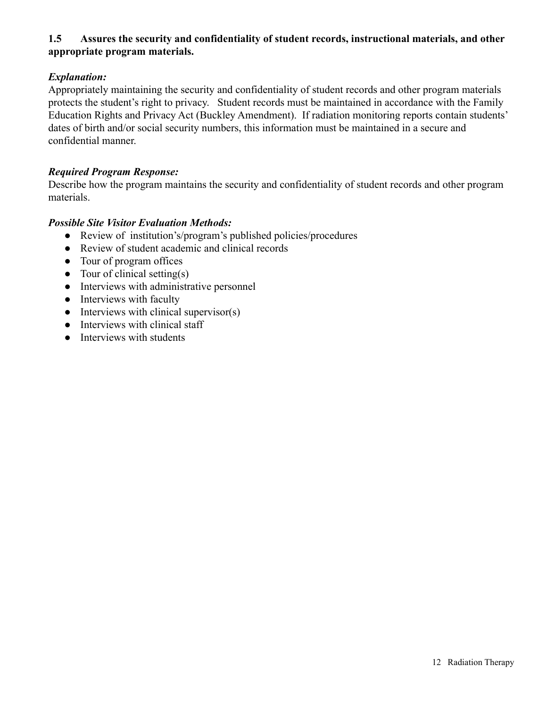# **1.5 Assures the security and confidentiality of student records, instructional materials, and other appropriate program materials.**

# *Explanation:*

Appropriately maintaining the security and confidentiality of student records and other program materials protects the student's right to privacy. Student records must be maintained in accordance with the Family Education Rights and Privacy Act (Buckley Amendment). If radiation monitoring reports contain students' dates of birth and/or social security numbers, this information must be maintained in a secure and confidential manner.

#### *Required Program Response:*

Describe how the program maintains the security and confidentiality of student records and other program materials.

- Review of institution's/program's published policies/procedures
- Review of student academic and clinical records
- Tour of program offices
- $\bullet$  Tour of clinical setting(s)
- Interviews with administrative personnel
- Interviews with faculty
- $\bullet$  Interviews with clinical supervisor(s)
- Interviews with clinical staff
- Interviews with students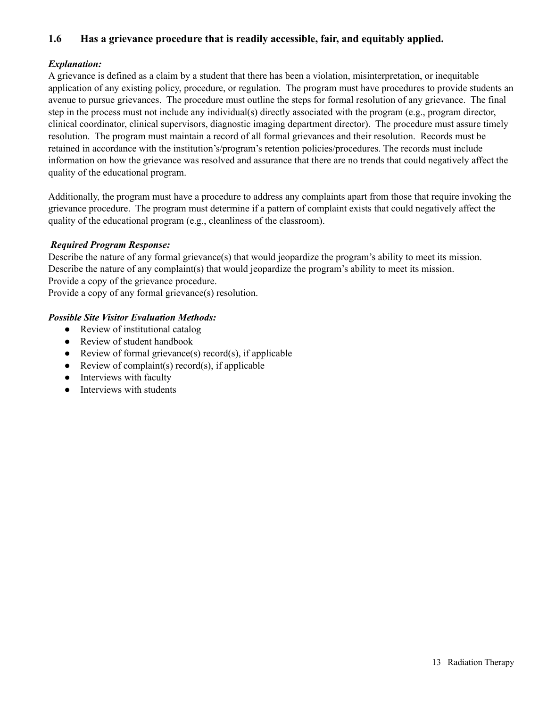# **1.6 Has a grievance procedure that is readily accessible, fair, and equitably applied.**

#### *Explanation:*

A grievance is defined as a claim by a student that there has been a violation, misinterpretation, or inequitable application of any existing policy, procedure, or regulation. The program must have procedures to provide students an avenue to pursue grievances. The procedure must outline the steps for formal resolution of any grievance. The final step in the process must not include any individual(s) directly associated with the program (e.g., program director, clinical coordinator, clinical supervisors, diagnostic imaging department director). The procedure must assure timely resolution. The program must maintain a record of all formal grievances and their resolution. Records must be retained in accordance with the institution's/program's retention policies/procedures. The records must include information on how the grievance was resolved and assurance that there are no trends that could negatively affect the quality of the educational program.

Additionally, the program must have a procedure to address any complaints apart from those that require invoking the grievance procedure. The program must determine if a pattern of complaint exists that could negatively affect the quality of the educational program (e.g., cleanliness of the classroom).

#### *Required Program Response:*

Describe the nature of any formal grievance(s) that would jeopardize the program's ability to meet its mission. Describe the nature of any complaint(s) that would jeopardize the program's ability to meet its mission. Provide a copy of the grievance procedure.

Provide a copy of any formal grievance(s) resolution.

- Review of institutional catalog
- Review of student handbook
- Review of formal grievance(s) record(s), if applicable
- Review of complaint(s) record(s), if applicable
- Interviews with faculty
- Interviews with students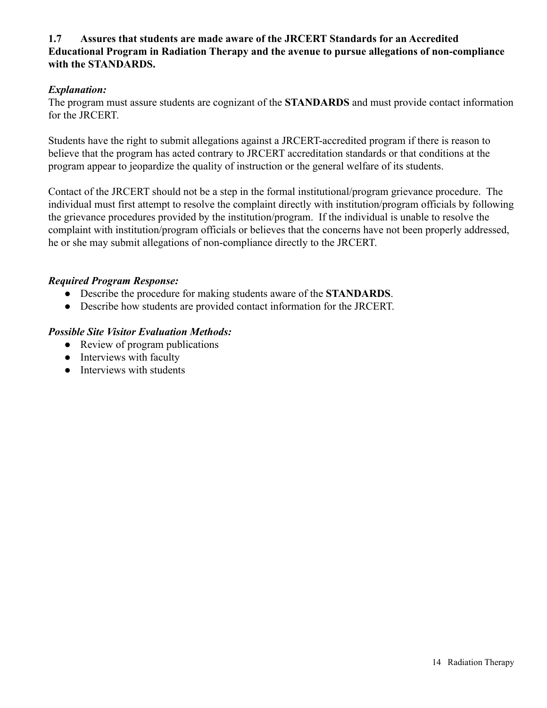# **1.7 Assures that students are made aware of the JRCERT Standards for an Accredited Educational Program in Radiation Therapy and the avenue to pursue allegations of non-compliance with the STANDARDS.**

# *Explanation:*

The program must assure students are cognizant of the **STANDARDS** and must provide contact information for the JRCERT.

Students have the right to submit allegations against a JRCERT-accredited program if there is reason to believe that the program has acted contrary to JRCERT accreditation standards or that conditions at the program appear to jeopardize the quality of instruction or the general welfare of its students.

Contact of the JRCERT should not be a step in the formal institutional/program grievance procedure. The individual must first attempt to resolve the complaint directly with institution/program officials by following the grievance procedures provided by the institution/program. If the individual is unable to resolve the complaint with institution/program officials or believes that the concerns have not been properly addressed, he or she may submit allegations of non-compliance directly to the JRCERT.

#### *Required Program Response:*

- Describe the procedure for making students aware of the **STANDARDS**.
- Describe how students are provided contact information for the JRCERT.

- Review of program publications
- Interviews with faculty
- Interviews with students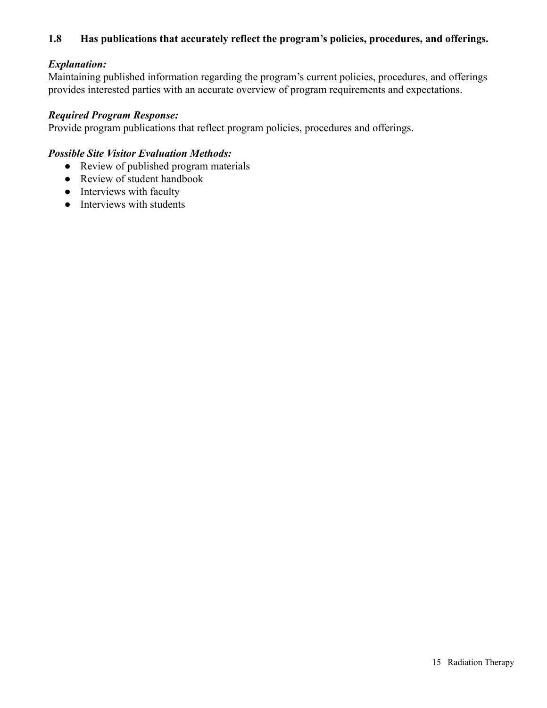# **1.8 Has publications that accurately reflect the program's policies, procedures, and offerings.**

#### *Explanation:*

Maintaining published information regarding the program's current policies, procedures, and offerings provides interested parties with an accurate overview of program requirements and expectations.

# *Required Program Response:*

Provide program publications that reflect program policies, procedures and offerings.

- Review of published program materials
- Review of student handbook
- Interviews with faculty
- Interviews with students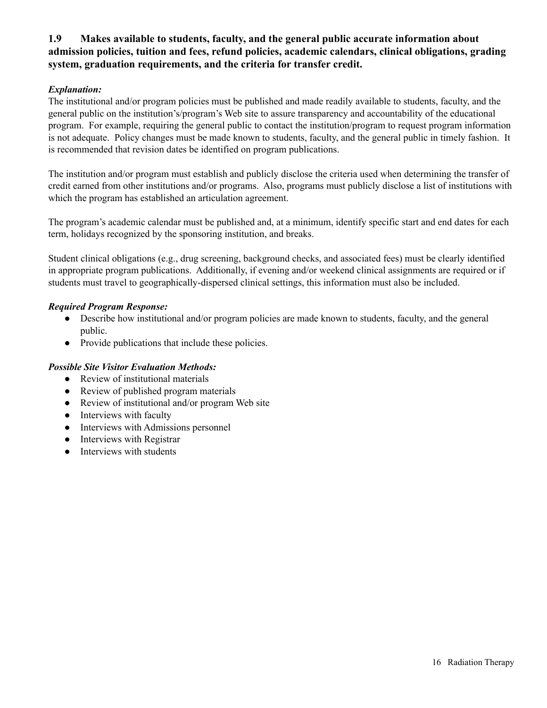# **1.9 Makes available to students, faculty, and the general public accurate information about admission policies, tuition and fees, refund policies, academic calendars, clinical obligations, grading system, graduation requirements, and the criteria for transfer credit.**

#### *Explanation:*

The institutional and/or program policies must be published and made readily available to students, faculty, and the general public on the institution's/program's Web site to assure transparency and accountability of the educational program. For example, requiring the general public to contact the institution/program to request program information is not adequate. Policy changes must be made known to students, faculty, and the general public in timely fashion. It is recommended that revision dates be identified on program publications.

The institution and/or program must establish and publicly disclose the criteria used when determining the transfer of credit earned from other institutions and/or programs. Also, programs must publicly disclose a list of institutions with which the program has established an articulation agreement.

The program's academic calendar must be published and, at a minimum, identify specific start and end dates for each term, holidays recognized by the sponsoring institution, and breaks.

Student clinical obligations (e.g., drug screening, background checks, and associated fees) must be clearly identified in appropriate program publications. Additionally, if evening and/or weekend clinical assignments are required or if students must travel to geographically-dispersed clinical settings, this information must also be included.

#### *Required Program Response:*

- Describe how institutional and/or program policies are made known to students, faculty, and the general public.
- Provide publications that include these policies.

- Review of institutional materials
- Review of published program materials
- Review of institutional and/or program Web site
- Interviews with faculty
- Interviews with Admissions personnel
- Interviews with Registrar
- Interviews with students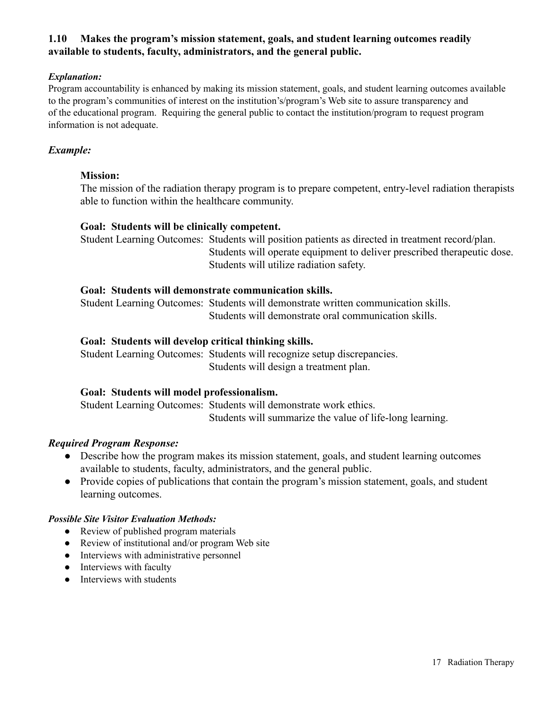# **1.10 Makes the program's mission statement, goals, and student learning outcomes readily available to students, faculty, administrators, and the general public.**

#### *Explanation:*

Program accountability is enhanced by making its mission statement, goals, and student learning outcomes available to the program's communities of interest on the institution's/program's Web site to assure transparency and of the educational program. Requiring the general public to contact the institution/program to request program information is not adequate.

#### *Example:*

#### **Mission:**

The mission of the radiation therapy program is to prepare competent, entry-level radiation therapists able to function within the healthcare community.

#### **Goal: Students will be clinically competent.**

Student Learning Outcomes: Students will position patients as directed in treatment record/plan. Students will operate equipment to deliver prescribed therapeutic dose. Students will utilize radiation safety.

#### **Goal: Students will demonstrate communication skills.**

Student Learning Outcomes: Students will demonstrate written communication skills. Students will demonstrate oral communication skills.

#### **Goal: Students will develop critical thinking skills.**

Student Learning Outcomes: Students will recognize setup discrepancies. Students will design a treatment plan.

#### **Goal: Students will model professionalism.**

Student Learning Outcomes: Students will demonstrate work ethics. Students will summarize the value of life-long learning.

#### *Required Program Response:*

- Describe how the program makes its mission statement, goals, and student learning outcomes available to students, faculty, administrators, and the general public.
- Provide copies of publications that contain the program's mission statement, goals, and student learning outcomes.

- Review of published program materials
- Review of institutional and/or program Web site
- Interviews with administrative personnel
- Interviews with faculty
- Interviews with students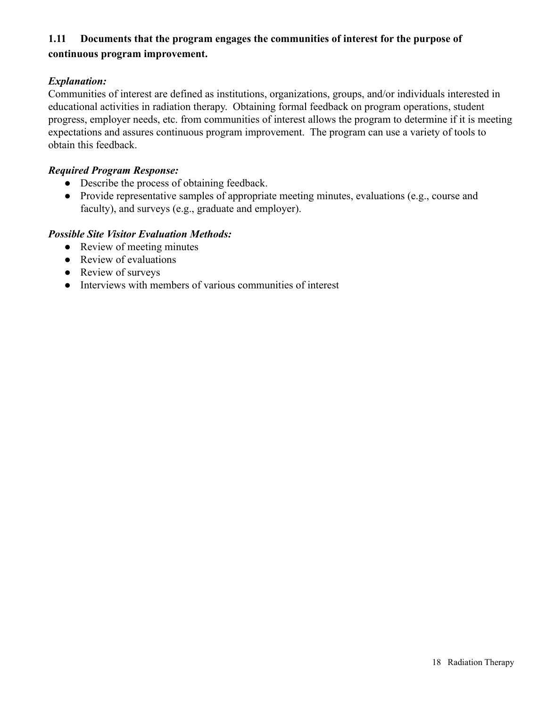# **1.11 Documents that the program engages the communities of interest for the purpose of continuous program improvement.**

# *Explanation:*

Communities of interest are defined as institutions, organizations, groups, and/or individuals interested in educational activities in radiation therapy. Obtaining formal feedback on program operations, student progress, employer needs, etc. from communities of interest allows the program to determine if it is meeting expectations and assures continuous program improvement. The program can use a variety of tools to obtain this feedback.

# *Required Program Response:*

- Describe the process of obtaining feedback.
- Provide representative samples of appropriate meeting minutes, evaluations (e.g., course and faculty), and surveys (e.g., graduate and employer).

- Review of meeting minutes
- Review of evaluations
- Review of surveys
- Interviews with members of various communities of interest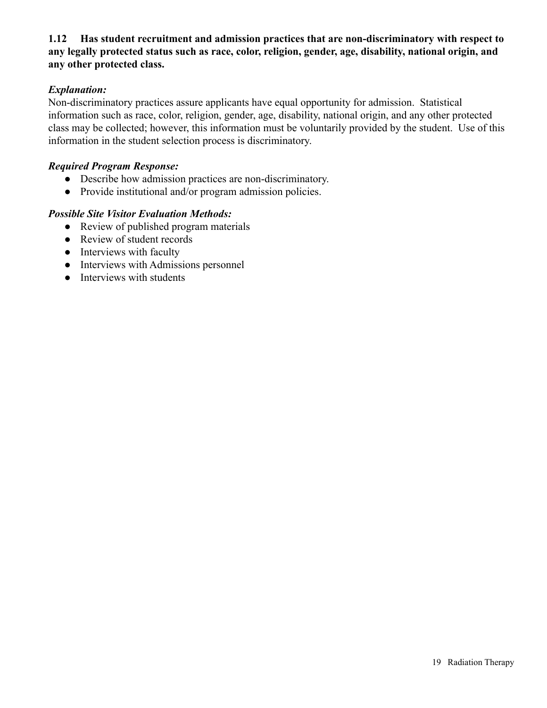# **1.12 Has student recruitment and admission practices that are non-discriminatory with respect to any legally protected status such as race, color, religion, gender, age, disability, national origin, and any other protected class.**

# *Explanation:*

Non-discriminatory practices assure applicants have equal opportunity for admission. Statistical information such as race, color, religion, gender, age, disability, national origin, and any other protected class may be collected; however, this information must be voluntarily provided by the student. Use of this information in the student selection process is discriminatory.

#### *Required Program Response:*

- Describe how admission practices are non-discriminatory.
- Provide institutional and/or program admission policies.

- Review of published program materials
- Review of student records
- Interviews with faculty
- Interviews with Admissions personnel
- Interviews with students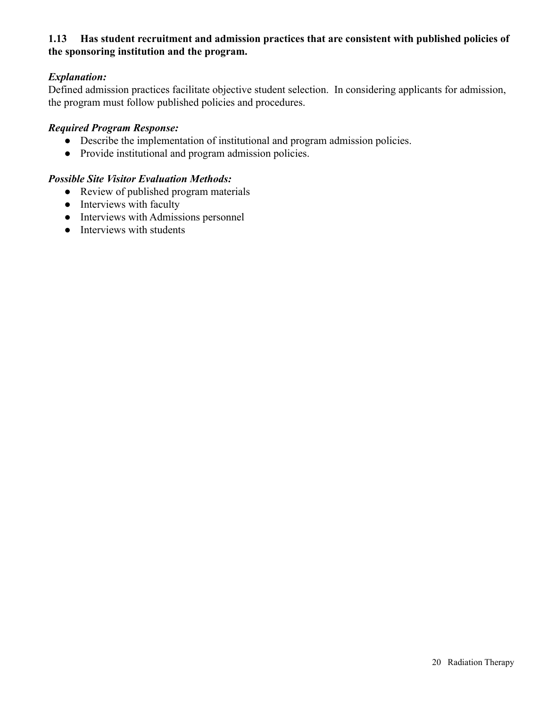# **1.13 Has student recruitment and admission practices that are consistent with published policies of the sponsoring institution and the program.**

# *Explanation:*

Defined admission practices facilitate objective student selection. In considering applicants for admission, the program must follow published policies and procedures.

#### *Required Program Response:*

- Describe the implementation of institutional and program admission policies.
- Provide institutional and program admission policies.

- Review of published program materials
- Interviews with faculty
- Interviews with Admissions personnel
- Interviews with students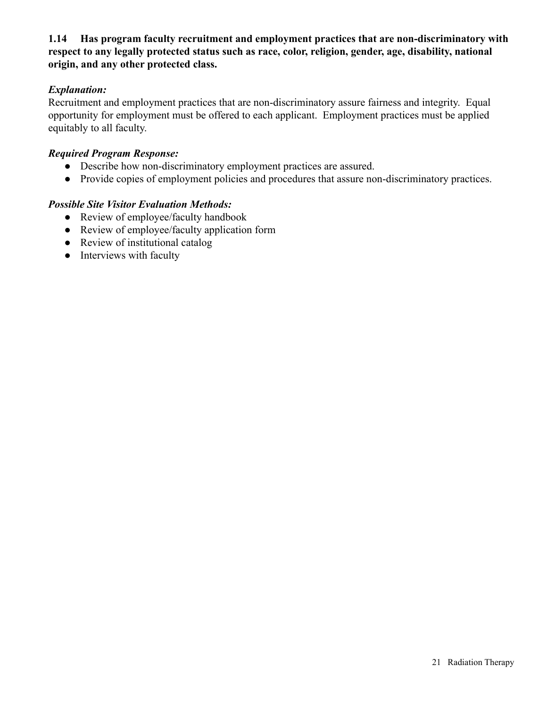# **1.14 Has program faculty recruitment and employment practices that are non-discriminatory with respect to any legally protected status such as race, color, religion, gender, age, disability, national origin, and any other protected class.**

# *Explanation:*

Recruitment and employment practices that are non-discriminatory assure fairness and integrity. Equal opportunity for employment must be offered to each applicant. Employment practices must be applied equitably to all faculty.

#### *Required Program Response:*

- Describe how non-discriminatory employment practices are assured.
- Provide copies of employment policies and procedures that assure non-discriminatory practices.

- Review of employee/faculty handbook
- Review of employee/faculty application form
- Review of institutional catalog
- Interviews with faculty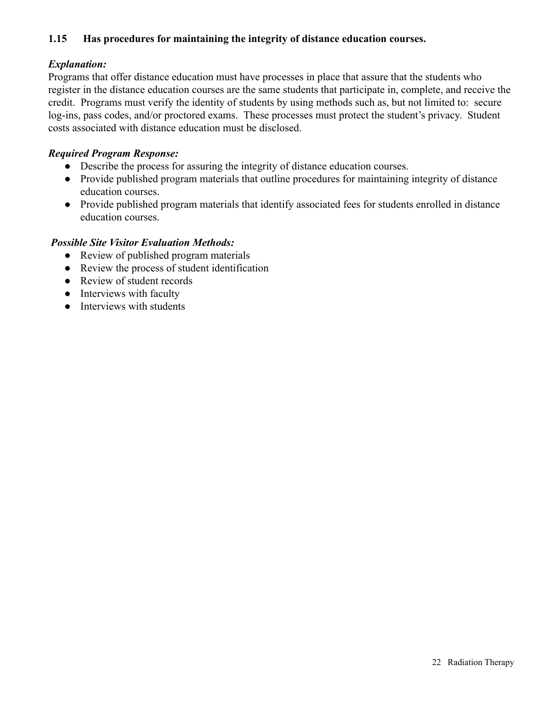# **1.15 Has procedures for maintaining the integrity of distance education courses.**

# *Explanation:*

Programs that offer distance education must have processes in place that assure that the students who register in the distance education courses are the same students that participate in, complete, and receive the credit. Programs must verify the identity of students by using methods such as, but not limited to: secure log-ins, pass codes, and/or proctored exams. These processes must protect the student's privacy. Student costs associated with distance education must be disclosed.

# *Required Program Response:*

- Describe the process for assuring the integrity of distance education courses.
- Provide published program materials that outline procedures for maintaining integrity of distance education courses.
- Provide published program materials that identify associated fees for students enrolled in distance education courses.

- Review of published program materials
- Review the process of student identification
- Review of student records
- Interviews with faculty
- Interviews with students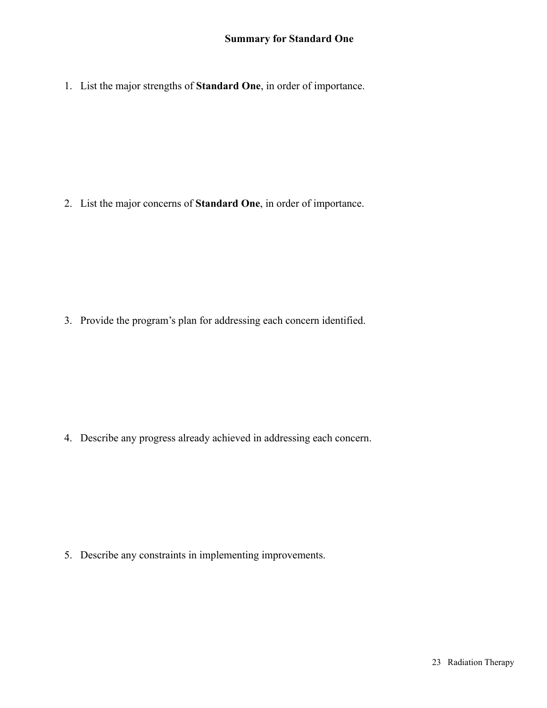1. List the major strengths of **Standard One**, in order of importance.

2. List the major concerns of **Standard One**, in order of importance.

3. Provide the program's plan for addressing each concern identified.

4. Describe any progress already achieved in addressing each concern.

5. Describe any constraints in implementing improvements.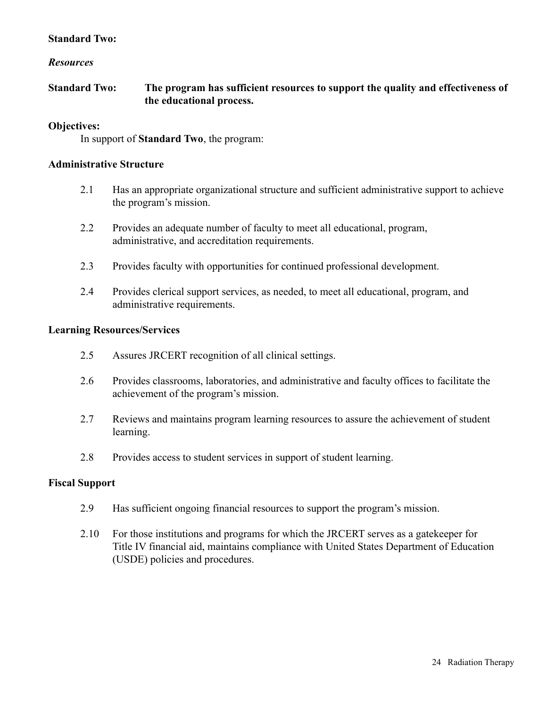# **Standard Two:**

#### *Resources*

**Standard Two: The program has sufficient resources to support the quality and effectiveness of the educational process.**

#### **Objectives:**

In support of **Standard Two**, the program:

#### **Administrative Structure**

- 2.1 Has an appropriate organizational structure and sufficient administrative support to achieve the program's mission.
- 2.2 Provides an adequate number of faculty to meet all educational, program, administrative, and accreditation requirements.
- 2.3 Provides faculty with opportunities for continued professional development.
- 2.4 Provides clerical support services, as needed, to meet all educational, program, and administrative requirements.

#### **Learning Resources/Services**

- 2.5 Assures JRCERT recognition of all clinical settings.
- 2.6 Provides classrooms, laboratories, and administrative and faculty offices to facilitate the achievement of the program's mission.
- 2.7 Reviews and maintains program learning resources to assure the achievement of student learning.
- 2.8 Provides access to student services in support of student learning.

#### **Fiscal Support**

- 2.9 Has sufficient ongoing financial resources to support the program's mission.
- 2.10 For those institutions and programs for which the JRCERT serves as a gatekeeper for Title IV financial aid, maintains compliance with United States Department of Education (USDE) policies and procedures.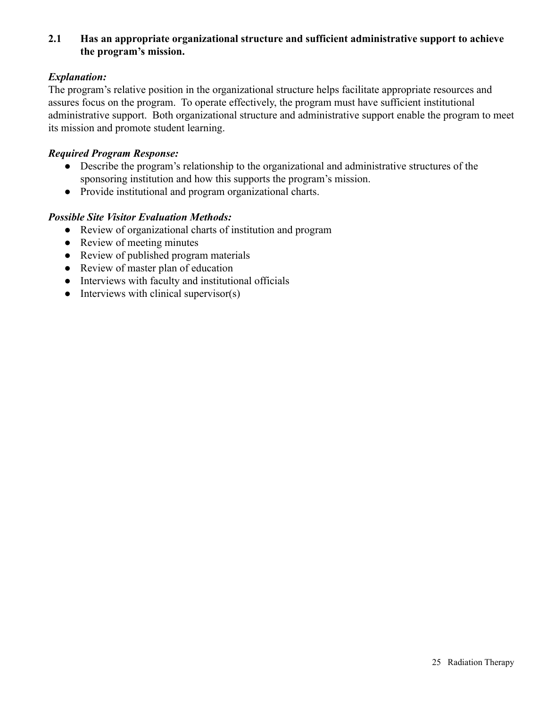# **2.1 Has an appropriate organizational structure and sufficient administrative support to achieve the program's mission.**

# *Explanation:*

The program's relative position in the organizational structure helps facilitate appropriate resources and assures focus on the program. To operate effectively, the program must have sufficient institutional administrative support. Both organizational structure and administrative support enable the program to meet its mission and promote student learning.

#### *Required Program Response:*

- Describe the program's relationship to the organizational and administrative structures of the sponsoring institution and how this supports the program's mission.
- Provide institutional and program organizational charts.

- Review of organizational charts of institution and program
- Review of meeting minutes
- Review of published program materials
- Review of master plan of education
- Interviews with faculty and institutional officials
- $\bullet$  Interviews with clinical supervisor(s)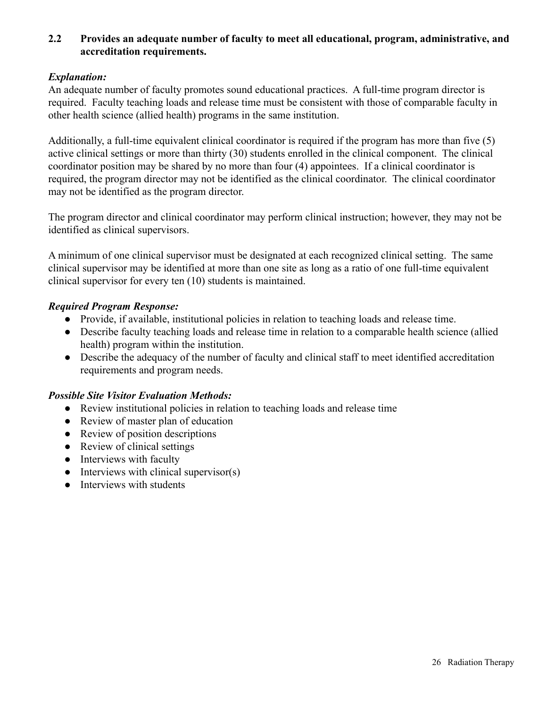# **2.2 Provides an adequate number of faculty to meet all educational, program, administrative, and accreditation requirements.**

# *Explanation:*

An adequate number of faculty promotes sound educational practices. A full-time program director is required. Faculty teaching loads and release time must be consistent with those of comparable faculty in other health science (allied health) programs in the same institution.

Additionally, a full-time equivalent clinical coordinator is required if the program has more than five (5) active clinical settings or more than thirty (30) students enrolled in the clinical component. The clinical coordinator position may be shared by no more than four (4) appointees. If a clinical coordinator is required, the program director may not be identified as the clinical coordinator. The clinical coordinator may not be identified as the program director.

The program director and clinical coordinator may perform clinical instruction; however, they may not be identified as clinical supervisors.

A minimum of one clinical supervisor must be designated at each recognized clinical setting. The same clinical supervisor may be identified at more than one site as long as a ratio of one full-time equivalent clinical supervisor for every ten (10) students is maintained.

# *Required Program Response:*

- Provide, if available, institutional policies in relation to teaching loads and release time.
- Describe faculty teaching loads and release time in relation to a comparable health science (allied health) program within the institution.
- Describe the adequacy of the number of faculty and clinical staff to meet identified accreditation requirements and program needs.

- Review institutional policies in relation to teaching loads and release time
- Review of master plan of education
- Review of position descriptions
- Review of clinical settings
- Interviews with faculty
- $\bullet$  Interviews with clinical supervisor(s)
- Interviews with students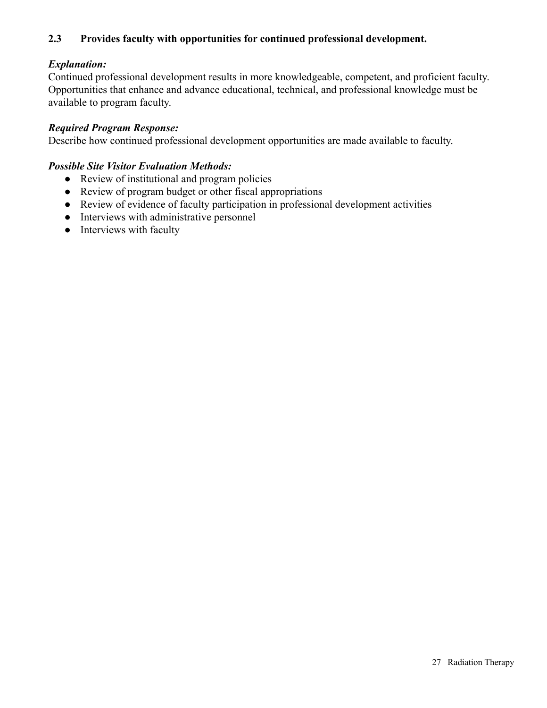# **2.3 Provides faculty with opportunities for continued professional development.**

# *Explanation:*

Continued professional development results in more knowledgeable, competent, and proficient faculty. Opportunities that enhance and advance educational, technical, and professional knowledge must be available to program faculty.

# *Required Program Response:*

Describe how continued professional development opportunities are made available to faculty.

- Review of institutional and program policies
- Review of program budget or other fiscal appropriations
- Review of evidence of faculty participation in professional development activities
- Interviews with administrative personnel
- Interviews with faculty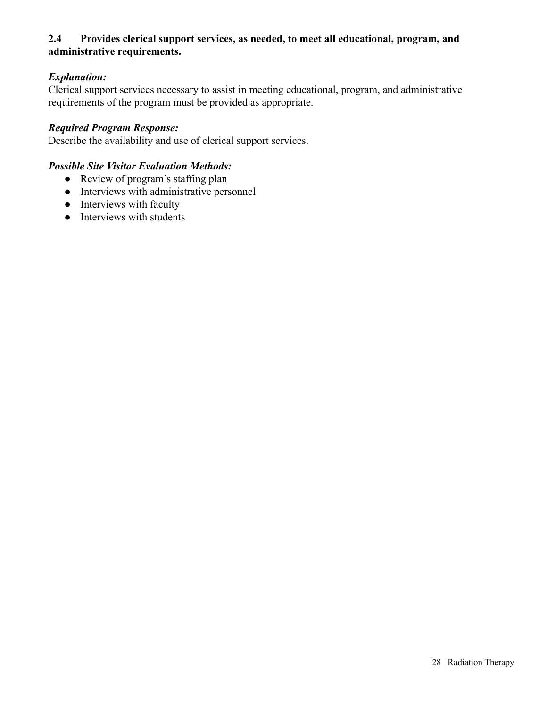# **2.4 Provides clerical support services, as needed, to meet all educational, program, and administrative requirements.**

# *Explanation:*

Clerical support services necessary to assist in meeting educational, program, and administrative requirements of the program must be provided as appropriate.

# *Required Program Response:*

Describe the availability and use of clerical support services.

- Review of program's staffing plan
- Interviews with administrative personnel
- Interviews with faculty
- Interviews with students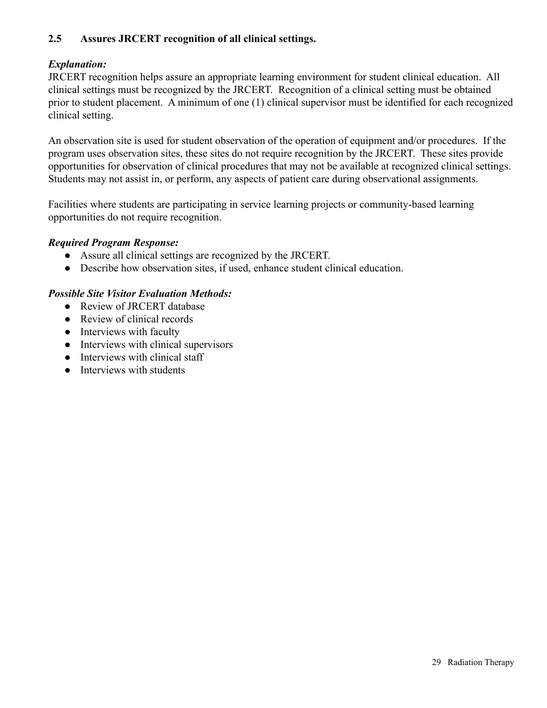# **2.5 Assures JRCERT recognition of all clinical settings.**

# *Explanation:*

JRCERT recognition helps assure an appropriate learning environment for student clinical education. All clinical settings must be recognized by the JRCERT. Recognition of a clinical setting must be obtained prior to student placement. A minimum of one (1) clinical supervisor must be identified for each recognized clinical setting.

An observation site is used for student observation of the operation of equipment and/or procedures. If the program uses observation sites, these sites do not require recognition by the JRCERT. These sites provide opportunities for observation of clinical procedures that may not be available at recognized clinical settings. Students may not assist in, or perform, any aspects of patient care during observational assignments.

Facilities where students are participating in service learning projects or community-based learning opportunities do not require recognition.

#### *Required Program Response:*

- Assure all clinical settings are recognized by the JRCERT.
- Describe how observation sites, if used, enhance student clinical education.

- Review of JRCERT database
- Review of clinical records
- Interviews with faculty
- Interviews with clinical supervisors
- Interviews with clinical staff
- Interviews with students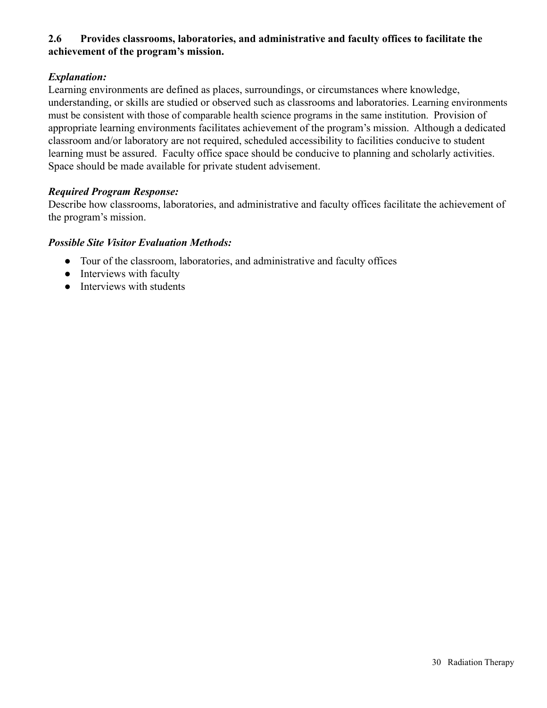# **2.6 Provides classrooms, laboratories, and administrative and faculty offices to facilitate the achievement of the program's mission.**

# *Explanation:*

Learning environments are defined as places, surroundings, or circumstances where knowledge, understanding, or skills are studied or observed such as classrooms and laboratories. Learning environments must be consistent with those of comparable health science programs in the same institution. Provision of appropriate learning environments facilitates achievement of the program's mission. Although a dedicated classroom and/or laboratory are not required, scheduled accessibility to facilities conducive to student learning must be assured. Faculty office space should be conducive to planning and scholarly activities. Space should be made available for private student advisement.

#### *Required Program Response:*

Describe how classrooms, laboratories, and administrative and faculty offices facilitate the achievement of the program's mission.

- Tour of the classroom, laboratories, and administrative and faculty offices
- Interviews with faculty
- Interviews with students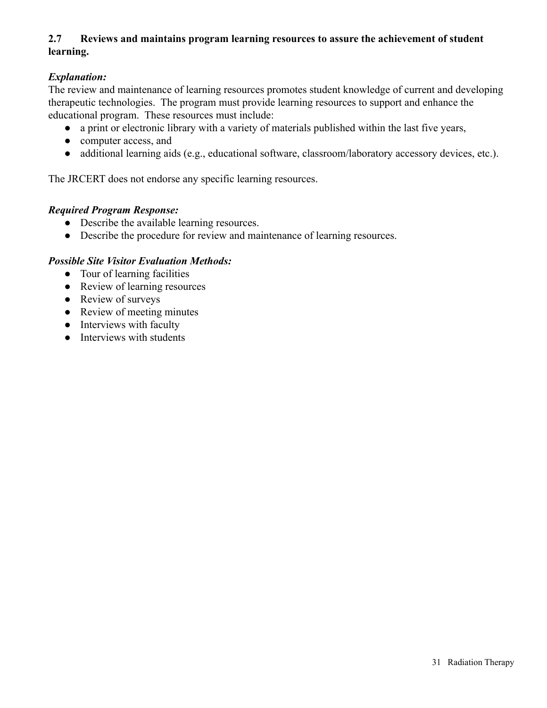# **2.7 Reviews and maintains program learning resources to assure the achievement of student learning.**

# *Explanation:*

The review and maintenance of learning resources promotes student knowledge of current and developing therapeutic technologies. The program must provide learning resources to support and enhance the educational program. These resources must include:

- a print or electronic library with a variety of materials published within the last five years,
- computer access, and
- additional learning aids (e.g., educational software, classroom/laboratory accessory devices, etc.).

The JRCERT does not endorse any specific learning resources.

#### *Required Program Response:*

- Describe the available learning resources.
- Describe the procedure for review and maintenance of learning resources.

- Tour of learning facilities
- Review of learning resources
- Review of surveys
- Review of meeting minutes
- Interviews with faculty
- Interviews with students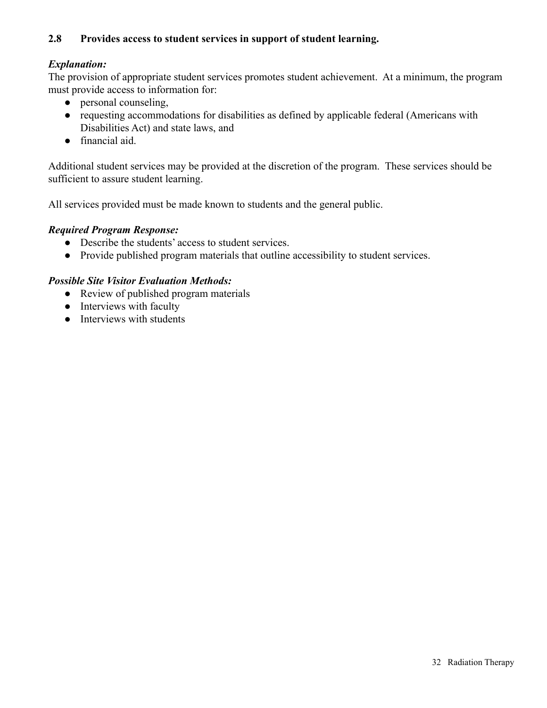# **2.8 Provides access to student services in support of student learning.**

# *Explanation:*

The provision of appropriate student services promotes student achievement. At a minimum, the program must provide access to information for:

- personal counseling,
- requesting accommodations for disabilities as defined by applicable federal (Americans with Disabilities Act) and state laws, and
- financial aid.

Additional student services may be provided at the discretion of the program. These services should be sufficient to assure student learning.

All services provided must be made known to students and the general public.

#### *Required Program Response:*

- Describe the students' access to student services.
- Provide published program materials that outline accessibility to student services.

- Review of published program materials
- Interviews with faculty
- Interviews with students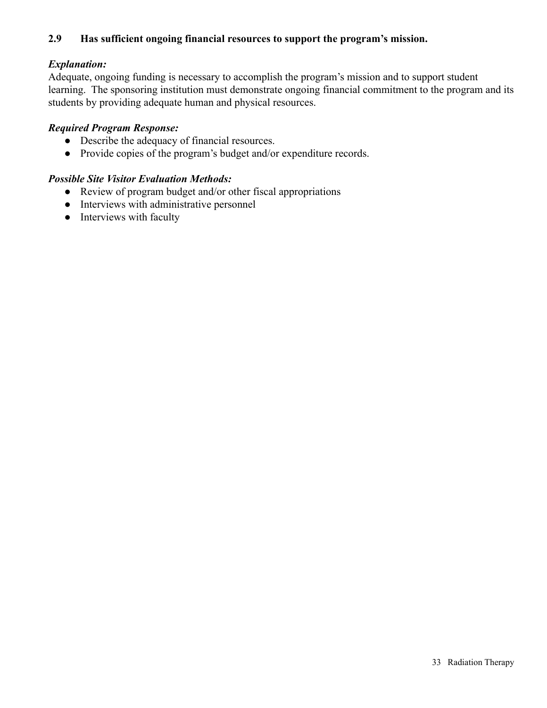# **2.9 Has sufficient ongoing financial resources to support the program's mission.**

# *Explanation:*

Adequate, ongoing funding is necessary to accomplish the program's mission and to support student learning. The sponsoring institution must demonstrate ongoing financial commitment to the program and its students by providing adequate human and physical resources.

#### *Required Program Response:*

- Describe the adequacy of financial resources.
- Provide copies of the program's budget and/or expenditure records.

- Review of program budget and/or other fiscal appropriations
- Interviews with administrative personnel
- Interviews with faculty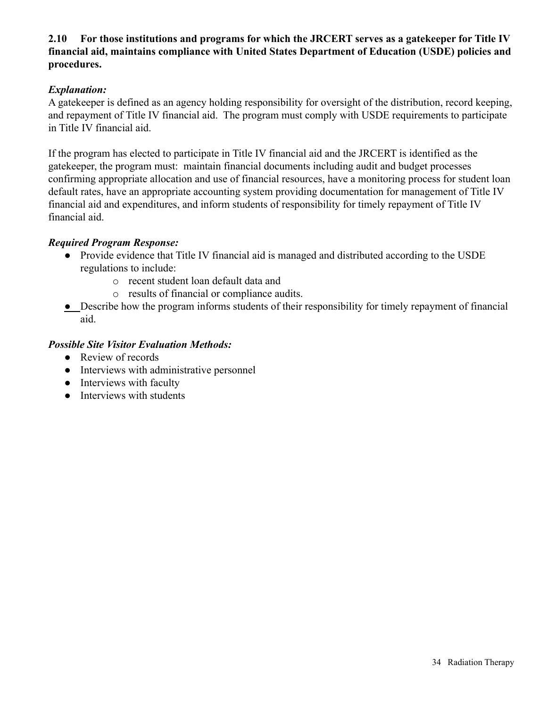# **2.10 For those institutions and programs for which the JRCERT serves as a gatekeeper for Title IV financial aid, maintains compliance with United States Department of Education (USDE) policies and procedures.**

# *Explanation:*

A gatekeeper is defined as an agency holding responsibility for oversight of the distribution, record keeping, and repayment of Title IV financial aid. The program must comply with USDE requirements to participate in Title IV financial aid.

If the program has elected to participate in Title IV financial aid and the JRCERT is identified as the gatekeeper, the program must: maintain financial documents including audit and budget processes confirming appropriate allocation and use of financial resources, have a monitoring process for student loan default rates, have an appropriate accounting system providing documentation for management of Title IV financial aid and expenditures, and inform students of responsibility for timely repayment of Title IV financial aid.

#### *Required Program Response:*

- Provide evidence that Title IV financial aid is managed and distributed according to the USDE regulations to include:
	- o recent student loan default data and
	- o results of financial or compliance audits.
- Describe how the program informs students of their responsibility for timely repayment of financial aid.

- Review of records
- Interviews with administrative personnel
- Interviews with faculty
- Interviews with students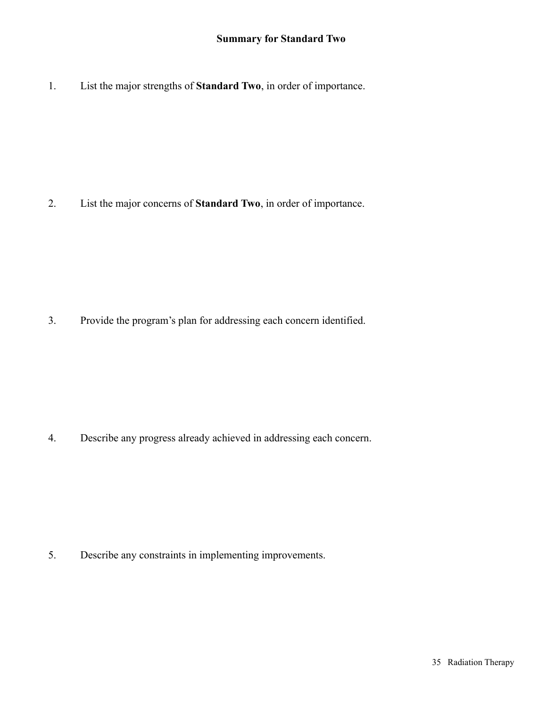1. List the major strengths of **Standard Two**, in order of importance.

2. List the major concerns of **Standard Two**, in order of importance.

3. Provide the program's plan for addressing each concern identified.

4. Describe any progress already achieved in addressing each concern.

5. Describe any constraints in implementing improvements.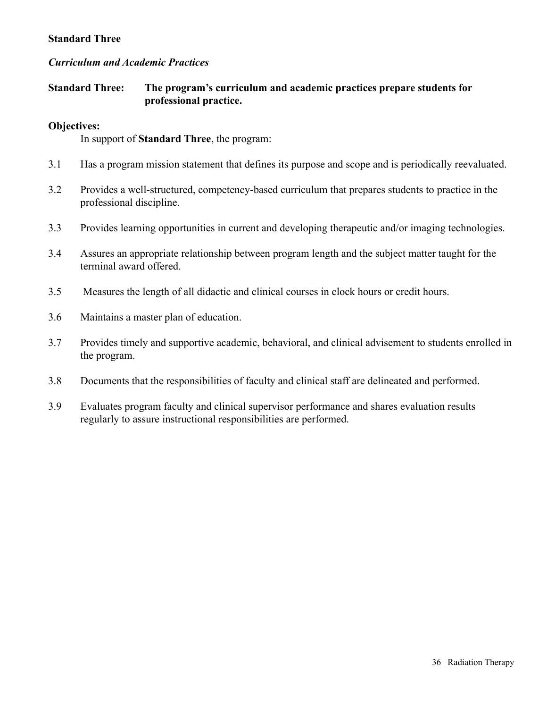#### **Standard Three**

*Curriculum and Academic Practices*

# **Standard Three: The program's curriculum and academic practices prepare students for professional practice.**

#### **Objectives:**

In support of **Standard Three**, the program:

- 3.1 Has a program mission statement that defines its purpose and scope and is periodically reevaluated.
- 3.2 Provides a well-structured, competency-based curriculum that prepares students to practice in the professional discipline.
- 3.3 Provides learning opportunities in current and developing therapeutic and/or imaging technologies.
- 3.4 Assures an appropriate relationship between program length and the subject matter taught for the terminal award offered.
- 3.5 Measures the length of all didactic and clinical courses in clock hours or credit hours.
- 3.6 Maintains a master plan of education.
- 3.7 Provides timely and supportive academic, behavioral, and clinical advisement to students enrolled in the program.
- 3.8 Documents that the responsibilities of faculty and clinical staff are delineated and performed.
- 3.9 Evaluates program faculty and clinical supervisor performance and shares evaluation results regularly to assure instructional responsibilities are performed.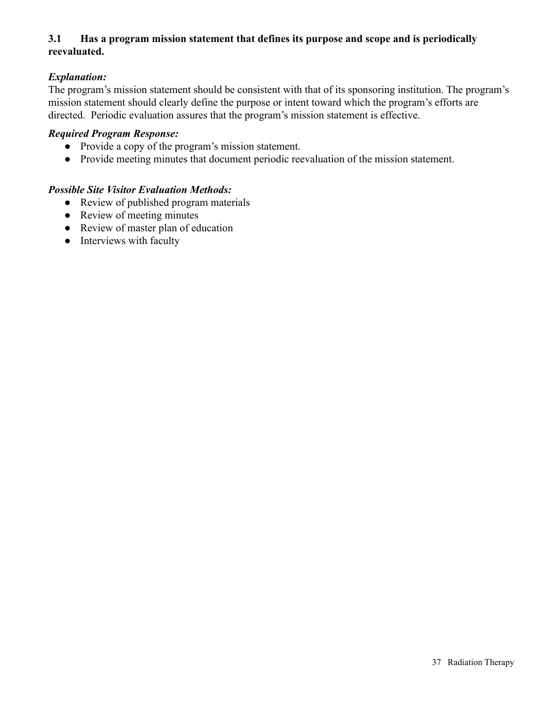# **3.1 Has a program mission statement that defines its purpose and scope and is periodically reevaluated.**

# *Explanation:*

The program's mission statement should be consistent with that of its sponsoring institution. The program's mission statement should clearly define the purpose or intent toward which the program's efforts are directed. Periodic evaluation assures that the program's mission statement is effective.

### *Required Program Response:*

- Provide a copy of the program's mission statement.
- Provide meeting minutes that document periodic reevaluation of the mission statement.

- Review of published program materials
- Review of meeting minutes
- Review of master plan of education
- Interviews with faculty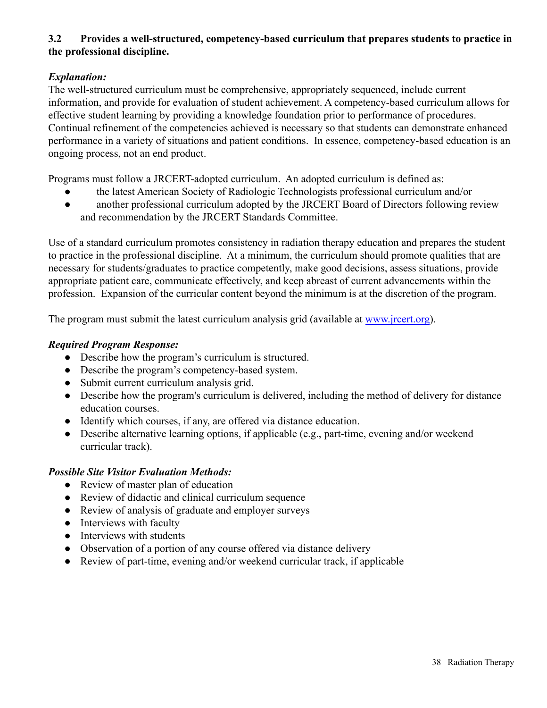# **3.2 Provides a well-structured, competency-based curriculum that prepares students to practice in the professional discipline.**

# *Explanation:*

The well-structured curriculum must be comprehensive, appropriately sequenced, include current information, and provide for evaluation of student achievement. A competency-based curriculum allows for effective student learning by providing a knowledge foundation prior to performance of procedures. Continual refinement of the competencies achieved is necessary so that students can demonstrate enhanced performance in a variety of situations and patient conditions. In essence, competency-based education is an ongoing process, not an end product.

Programs must follow a JRCERT-adopted curriculum. An adopted curriculum is defined as:

- the latest American Society of Radiologic Technologists professional curriculum and/or
- another professional curriculum adopted by the JRCERT Board of Directors following review and recommendation by the JRCERT Standards Committee.

Use of a standard curriculum promotes consistency in radiation therapy education and prepares the student to practice in the professional discipline. At a minimum, the curriculum should promote qualities that are necessary for students/graduates to practice competently, make good decisions, assess situations, provide appropriate patient care, communicate effectively, and keep abreast of current advancements within the profession. Expansion of the curricular content beyond the minimum is at the discretion of the program.

The program must submit the latest curriculum analysis grid (available at [www.jrcert.org](http://www.jrcert.org)).

## *Required Program Response:*

- Describe how the program's curriculum is structured.
- Describe the program's competency-based system.
- Submit current curriculum analysis grid.
- Describe how the program's curriculum is delivered, including the method of delivery for distance education courses.
- Identify which courses, if any, are offered via distance education.
- Describe alternative learning options, if applicable (e.g., part-time, evening and/or weekend curricular track).

- Review of master plan of education
- Review of didactic and clinical curriculum sequence
- Review of analysis of graduate and employer surveys
- Interviews with faculty
- Interviews with students
- Observation of a portion of any course offered via distance delivery
- Review of part-time, evening and/or weekend curricular track, if applicable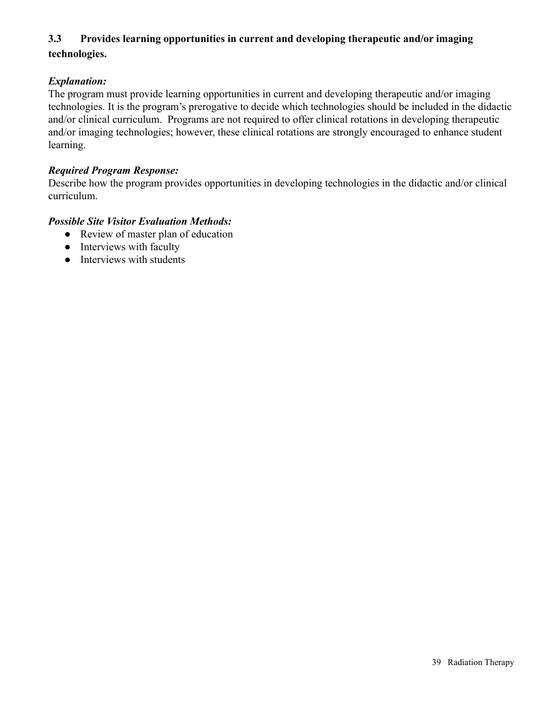# **3.3 Provides learning opportunities in current and developing therapeutic and/or imaging technologies.**

# *Explanation:*

The program must provide learning opportunities in current and developing therapeutic and/or imaging technologies. It is the program's prerogative to decide which technologies should be included in the didactic and/or clinical curriculum. Programs are not required to offer clinical rotations in developing therapeutic and/or imaging technologies; however, these clinical rotations are strongly encouraged to enhance student learning.

## *Required Program Response:*

Describe how the program provides opportunities in developing technologies in the didactic and/or clinical curriculum.

- Review of master plan of education
- Interviews with faculty
- Interviews with students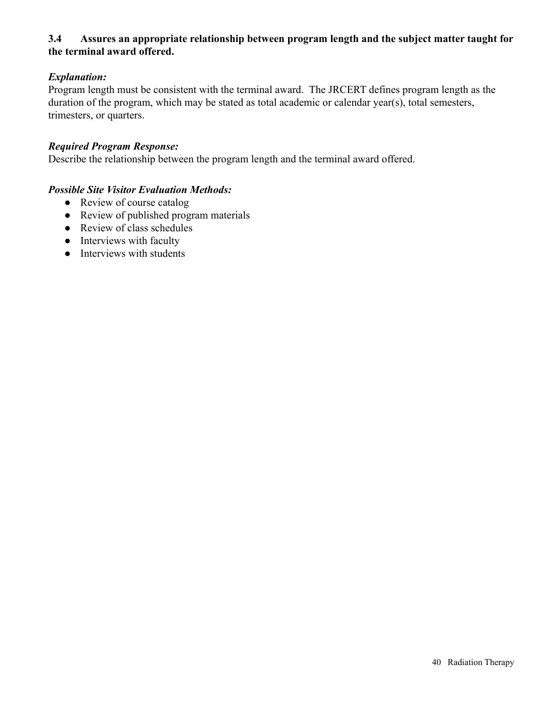# **3.4 Assures an appropriate relationship between program length and the subject matter taught for the terminal award offered.**

# *Explanation:*

Program length must be consistent with the terminal award. The JRCERT defines program length as the duration of the program, which may be stated as total academic or calendar year(s), total semesters, trimesters, or quarters.

## *Required Program Response:*

Describe the relationship between the program length and the terminal award offered.

- Review of course catalog
- Review of published program materials
- Review of class schedules
- Interviews with faculty
- Interviews with students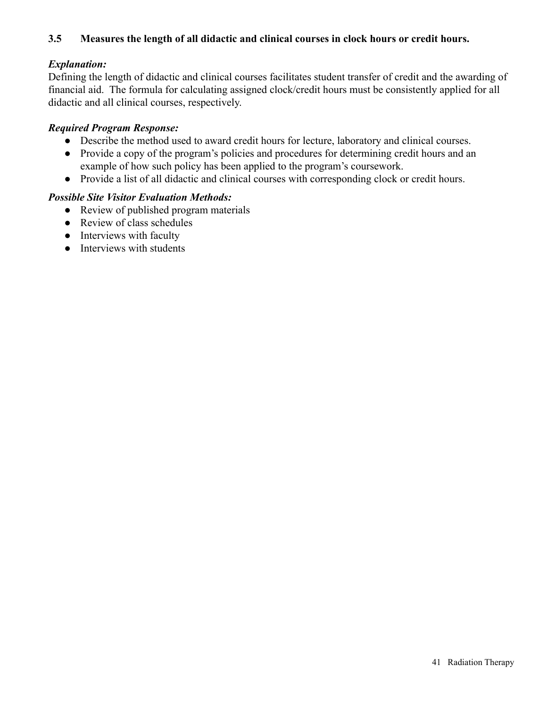# **3.5 Measures the length of all didactic and clinical courses in clock hours or credit hours.**

# *Explanation:*

Defining the length of didactic and clinical courses facilitates student transfer of credit and the awarding of financial aid. The formula for calculating assigned clock/credit hours must be consistently applied for all didactic and all clinical courses, respectively.

# *Required Program Response:*

- Describe the method used to award credit hours for lecture, laboratory and clinical courses.
- Provide a copy of the program's policies and procedures for determining credit hours and an example of how such policy has been applied to the program's coursework.
- Provide a list of all didactic and clinical courses with corresponding clock or credit hours.

- Review of published program materials
- Review of class schedules
- Interviews with faculty
- Interviews with students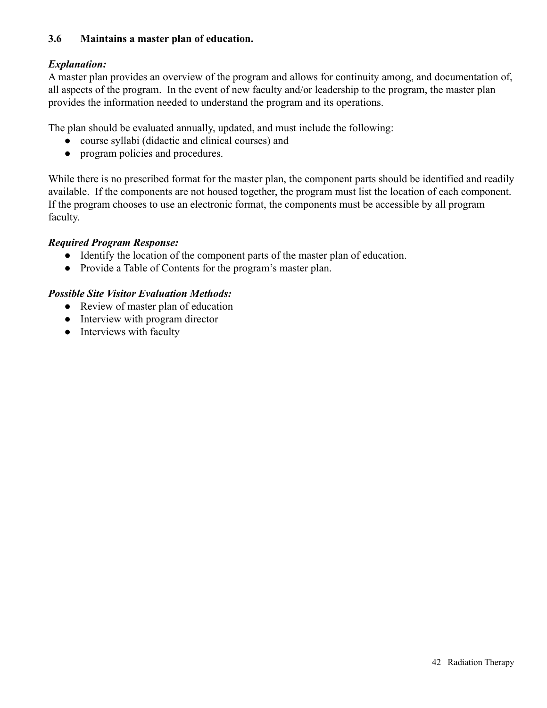# **3.6 Maintains a master plan of education.**

# *Explanation:*

A master plan provides an overview of the program and allows for continuity among, and documentation of, all aspects of the program. In the event of new faculty and/or leadership to the program, the master plan provides the information needed to understand the program and its operations.

The plan should be evaluated annually, updated, and must include the following:

- course syllabi (didactic and clinical courses) and
- program policies and procedures.

While there is no prescribed format for the master plan, the component parts should be identified and readily available. If the components are not housed together, the program must list the location of each component. If the program chooses to use an electronic format, the components must be accessible by all program faculty.

# *Required Program Response:*

- Identify the location of the component parts of the master plan of education.
- Provide a Table of Contents for the program's master plan.

- Review of master plan of education
- Interview with program director
- Interviews with faculty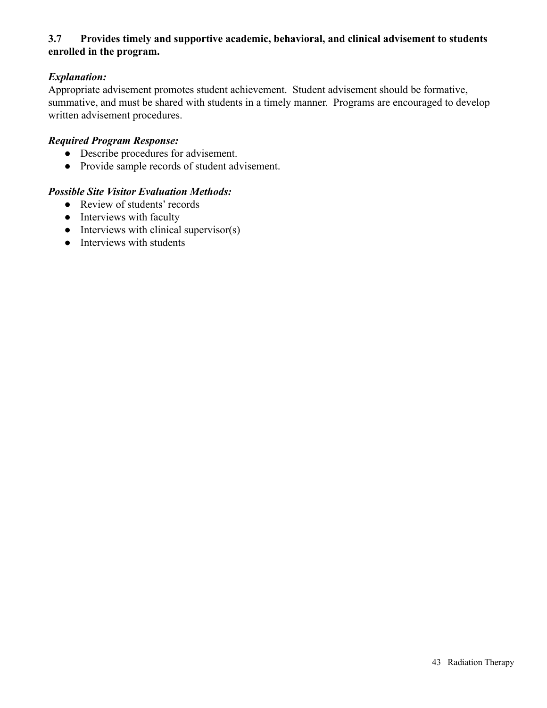# **3.7 Provides timely and supportive academic, behavioral, and clinical advisement to students enrolled in the program.**

# *Explanation:*

Appropriate advisement promotes student achievement. Student advisement should be formative, summative, and must be shared with students in a timely manner. Programs are encouraged to develop written advisement procedures.

### *Required Program Response:*

- Describe procedures for advisement.
- Provide sample records of student advisement.

- Review of students' records
- Interviews with faculty
- $\bullet$  Interviews with clinical supervisor(s)
- Interviews with students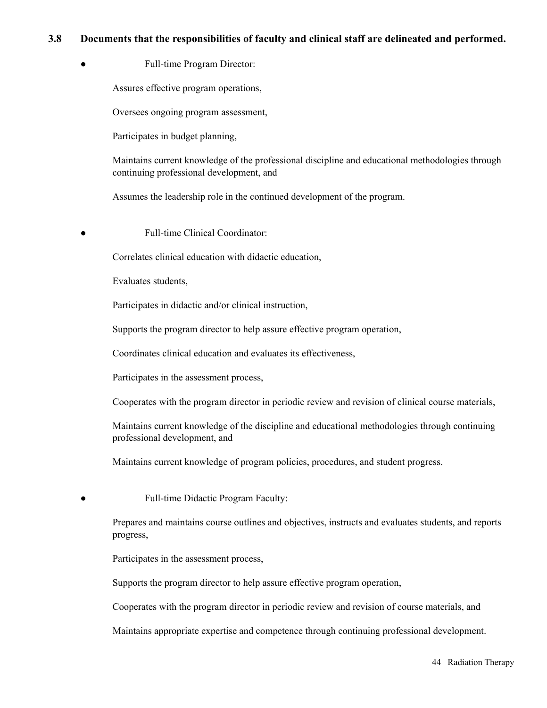#### **3.8 Documents that the responsibilities of faculty and clinical staff are delineated and performed.**

● Full-time Program Director:

Assures effective program operations,

Oversees ongoing program assessment,

Participates in budget planning,

Maintains current knowledge of the professional discipline and educational methodologies through continuing professional development, and

Assumes the leadership role in the continued development of the program.

**Full-time Clinical Coordinator:** 

Correlates clinical education with didactic education,

Evaluates students,

Participates in didactic and/or clinical instruction,

Supports the program director to help assure effective program operation,

Coordinates clinical education and evaluates its effectiveness,

Participates in the assessment process,

Cooperates with the program director in periodic review and revision of clinical course materials,

Maintains current knowledge of the discipline and educational methodologies through continuing professional development, and

Maintains current knowledge of program policies, procedures, and student progress.

Full-time Didactic Program Faculty:

Prepares and maintains course outlines and objectives, instructs and evaluates students, and reports progress,

Participates in the assessment process,

Supports the program director to help assure effective program operation,

Cooperates with the program director in periodic review and revision of course materials, and

Maintains appropriate expertise and competence through continuing professional development.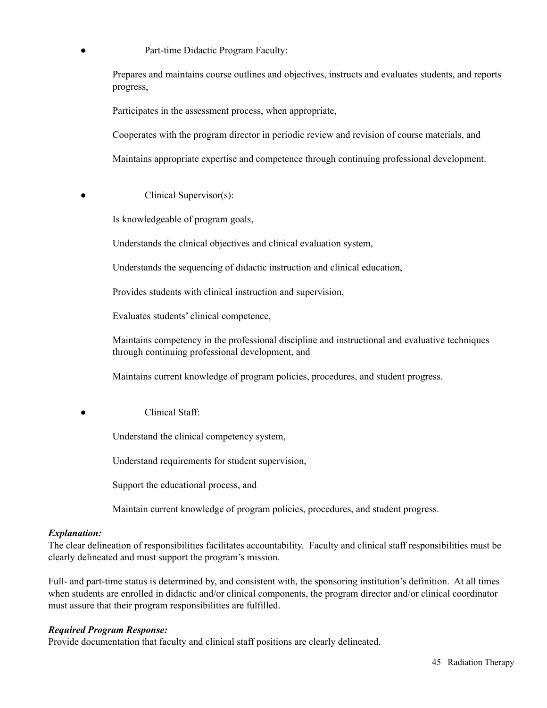Part-time Didactic Program Faculty:

Prepares and maintains course outlines and objectives, instructs and evaluates students, and reports progress,

Participates in the assessment process, when appropriate,

Cooperates with the program director in periodic review and revision of course materials, and

Maintains appropriate expertise and competence through continuing professional development.

Clinical Supervisor(s):

Is knowledgeable of program goals,

Understands the clinical objectives and clinical evaluation system,

Understands the sequencing of didactic instruction and clinical education,

Provides students with clinical instruction and supervision,

Evaluates students' clinical competence,

Maintains competency in the professional discipline and instructional and evaluative techniques through continuing professional development, and

Maintains current knowledge of program policies, procedures, and student progress.

● Clinical Staff:

Understand the clinical competency system,

Understand requirements for student supervision,

Support the educational process, and

Maintain current knowledge of program policies, procedures, and student progress.

#### *Explanation:*

The clear delineation of responsibilities facilitates accountability. Faculty and clinical staff responsibilities must be clearly delineated and must support the program's mission.

Full- and part-time status is determined by, and consistent with, the sponsoring institution's definition. At all times when students are enrolled in didactic and/or clinical components, the program director and/or clinical coordinator must assure that their program responsibilities are fulfilled.

#### *Required Program Response:*

Provide documentation that faculty and clinical staff positions are clearly delineated.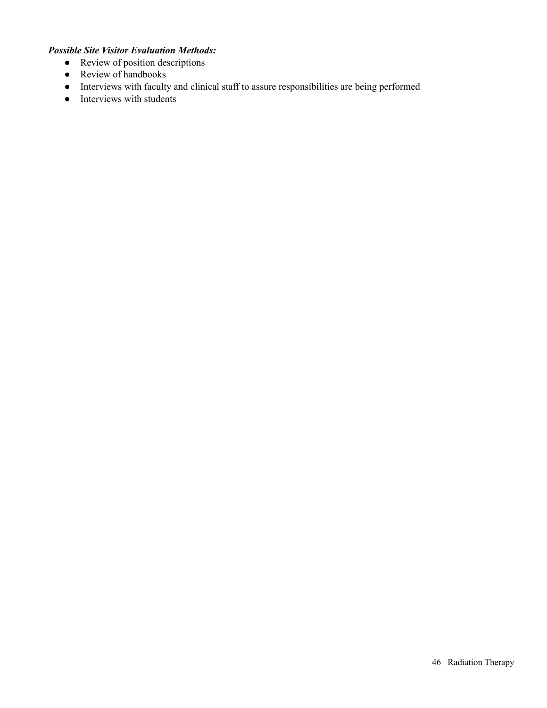- Review of position descriptions
- Review of handbooks
- Interviews with faculty and clinical staff to assure responsibilities are being performed
- Interviews with students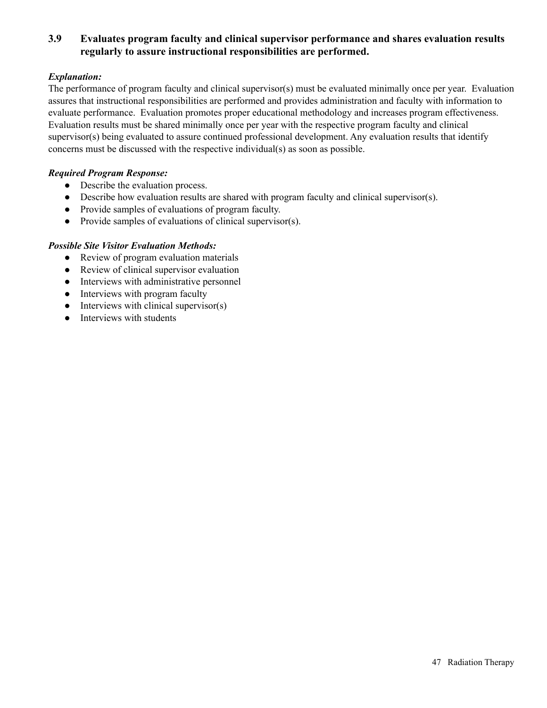# **3.9 Evaluates program faculty and clinical supervisor performance and shares evaluation results regularly to assure instructional responsibilities are performed.**

#### *Explanation:*

The performance of program faculty and clinical supervisor(s) must be evaluated minimally once per year. Evaluation assures that instructional responsibilities are performed and provides administration and faculty with information to evaluate performance. Evaluation promotes proper educational methodology and increases program effectiveness. Evaluation results must be shared minimally once per year with the respective program faculty and clinical supervisor(s) being evaluated to assure continued professional development. Any evaluation results that identify concerns must be discussed with the respective individual(s) as soon as possible.

#### *Required Program Response:*

- Describe the evaluation process.
- Describe how evaluation results are shared with program faculty and clinical supervisor(s).
- Provide samples of evaluations of program faculty.
- Provide samples of evaluations of clinical supervisor(s).

- Review of program evaluation materials
- Review of clinical supervisor evaluation
- Interviews with administrative personnel
- Interviews with program faculty
- $\bullet$  Interviews with clinical supervisor(s)
- Interviews with students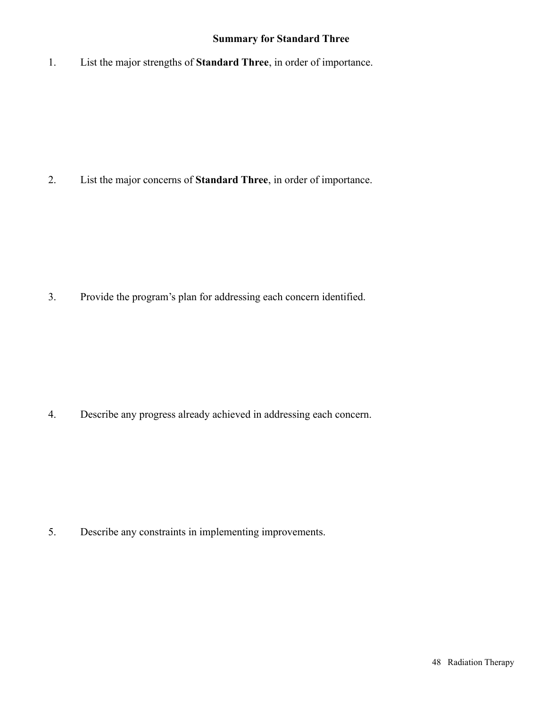# **Summary for Standard Three**

1. List the major strengths of **Standard Three**, in order of importance.

2. List the major concerns of **Standard Three**, in order of importance.

3. Provide the program's plan for addressing each concern identified.

4. Describe any progress already achieved in addressing each concern.

5. Describe any constraints in implementing improvements.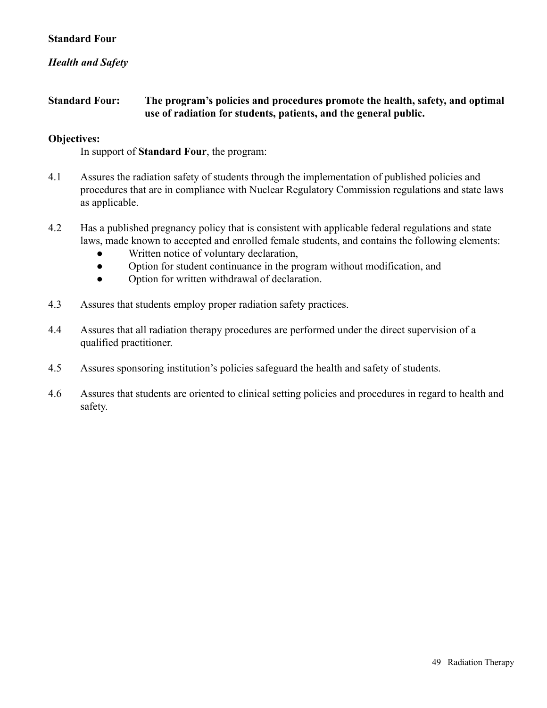# **Standard Four**

*Health and Safety*

# **Standard Four: The program's policies and procedures promote the health, safety, and optimal use of radiation for students, patients, and the general public.**

#### **Objectives:**

In support of **Standard Four**, the program:

- 4.1 Assures the radiation safety of students through the implementation of published policies and procedures that are in compliance with Nuclear Regulatory Commission regulations and state laws as applicable.
- 4.2 Has a published pregnancy policy that is consistent with applicable federal regulations and state laws, made known to accepted and enrolled female students, and contains the following elements:
	- Written notice of voluntary declaration,
	- Option for student continuance in the program without modification, and
	- Option for written withdrawal of declaration.
- 4.3 Assures that students employ proper radiation safety practices.
- 4.4 Assures that all radiation therapy procedures are performed under the direct supervision of a qualified practitioner.
- 4.5 Assures sponsoring institution's policies safeguard the health and safety of students.
- 4.6 Assures that students are oriented to clinical setting policies and procedures in regard to health and safety.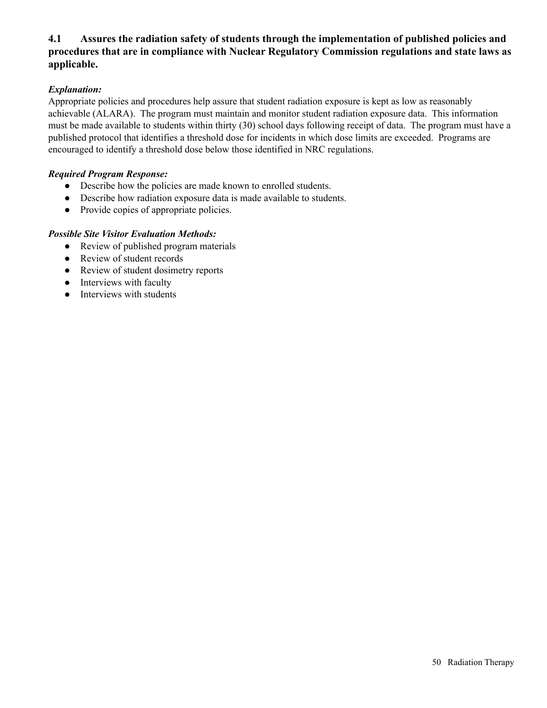# **4.1 Assures the radiation safety of students through the implementation of published policies and procedures that are in compliance with Nuclear Regulatory Commission regulations and state laws as applicable.**

### *Explanation:*

Appropriate policies and procedures help assure that student radiation exposure is kept as low as reasonably achievable (ALARA). The program must maintain and monitor student radiation exposure data. This information must be made available to students within thirty (30) school days following receipt of data. The program must have a published protocol that identifies a threshold dose for incidents in which dose limits are exceeded. Programs are encouraged to identify a threshold dose below those identified in NRC regulations.

#### *Required Program Response:*

- Describe how the policies are made known to enrolled students.
- Describe how radiation exposure data is made available to students.
- Provide copies of appropriate policies.

- Review of published program materials
- Review of student records
- Review of student dosimetry reports
- Interviews with faculty
- Interviews with students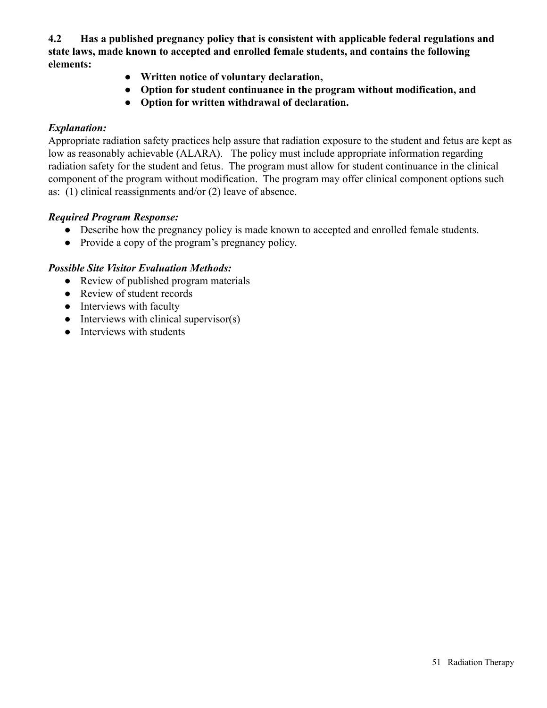**4.2 Has a published pregnancy policy that is consistent with applicable federal regulations and state laws, made known to accepted and enrolled female students, and contains the following elements:**

- **Written notice of voluntary declaration,**
- **Option for student continuance in the program without modification, and**
- **Option for written withdrawal of declaration.**

### *Explanation:*

Appropriate radiation safety practices help assure that radiation exposure to the student and fetus are kept as low as reasonably achievable (ALARA). The policy must include appropriate information regarding radiation safety for the student and fetus. The program must allow for student continuance in the clinical component of the program without modification. The program may offer clinical component options such as: (1) clinical reassignments and/or (2) leave of absence.

## *Required Program Response:*

- Describe how the pregnancy policy is made known to accepted and enrolled female students.
- Provide a copy of the program's pregnancy policy.

- Review of published program materials
- Review of student records
- Interviews with faculty
- $\bullet$  Interviews with clinical supervisor(s)
- Interviews with students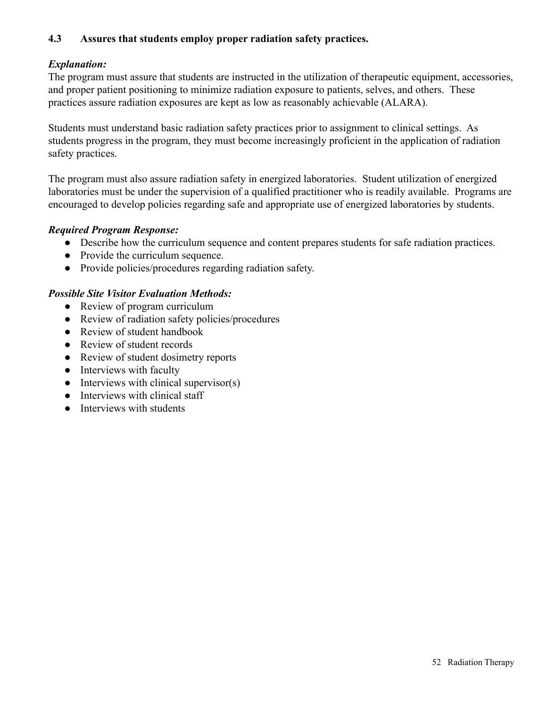# **4.3 Assures that students employ proper radiation safety practices.**

# *Explanation:*

The program must assure that students are instructed in the utilization of therapeutic equipment, accessories, and proper patient positioning to minimize radiation exposure to patients, selves, and others. These practices assure radiation exposures are kept as low as reasonably achievable (ALARA).

Students must understand basic radiation safety practices prior to assignment to clinical settings. As students progress in the program, they must become increasingly proficient in the application of radiation safety practices.

The program must also assure radiation safety in energized laboratories. Student utilization of energized laboratories must be under the supervision of a qualified practitioner who is readily available. Programs are encouraged to develop policies regarding safe and appropriate use of energized laboratories by students.

## *Required Program Response:*

- Describe how the curriculum sequence and content prepares students for safe radiation practices.
- Provide the curriculum sequence.
- Provide policies/procedures regarding radiation safety.

- Review of program curriculum
- Review of radiation safety policies/procedures
- Review of student handbook
- Review of student records
- Review of student dosimetry reports
- Interviews with faculty
- $\bullet$  Interviews with clinical supervisor(s)
- $\bullet$  Interviews with clinical staff
- Interviews with students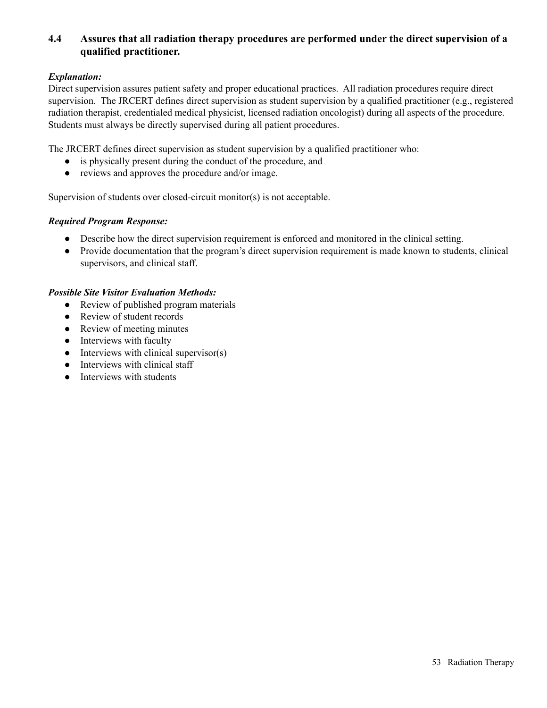# **4.4 Assures that all radiation therapy procedures are performed under the direct supervision of a qualified practitioner.**

#### *Explanation:*

Direct supervision assures patient safety and proper educational practices. All radiation procedures require direct supervision. The JRCERT defines direct supervision as student supervision by a qualified practitioner (e.g., registered radiation therapist, credentialed medical physicist, licensed radiation oncologist) during all aspects of the procedure. Students must always be directly supervised during all patient procedures.

The JRCERT defines direct supervision as student supervision by a qualified practitioner who:

- is physically present during the conduct of the procedure, and
- reviews and approves the procedure and/or image.

Supervision of students over closed-circuit monitor(s) is not acceptable.

#### *Required Program Response:*

- Describe how the direct supervision requirement is enforced and monitored in the clinical setting.
- Provide documentation that the program's direct supervision requirement is made known to students, clinical supervisors, and clinical staff.

- Review of published program materials
- Review of student records
- Review of meeting minutes
- Interviews with faculty
- $\bullet$  Interviews with clinical supervisor(s)
- Interviews with clinical staff
- Interviews with students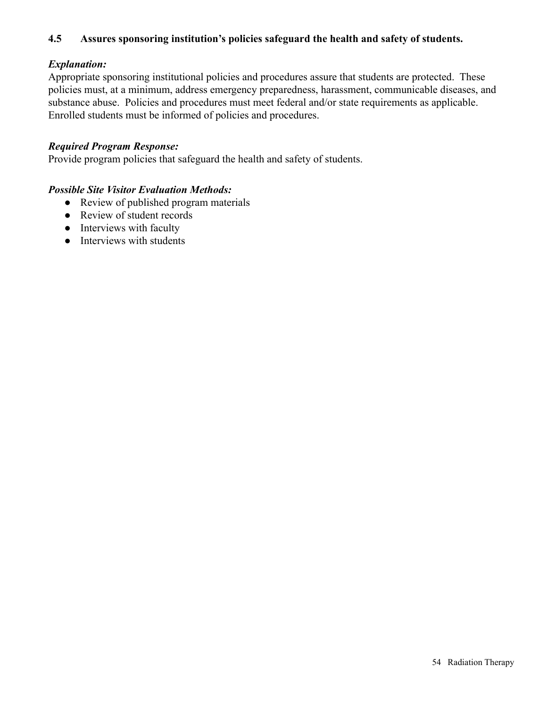# **4.5 Assures sponsoring institution's policies safeguard the health and safety of students.**

# *Explanation:*

Appropriate sponsoring institutional policies and procedures assure that students are protected. These policies must, at a minimum, address emergency preparedness, harassment, communicable diseases, and substance abuse. Policies and procedures must meet federal and/or state requirements as applicable. Enrolled students must be informed of policies and procedures.

## *Required Program Response:*

Provide program policies that safeguard the health and safety of students.

- Review of published program materials
- Review of student records
- Interviews with faculty
- Interviews with students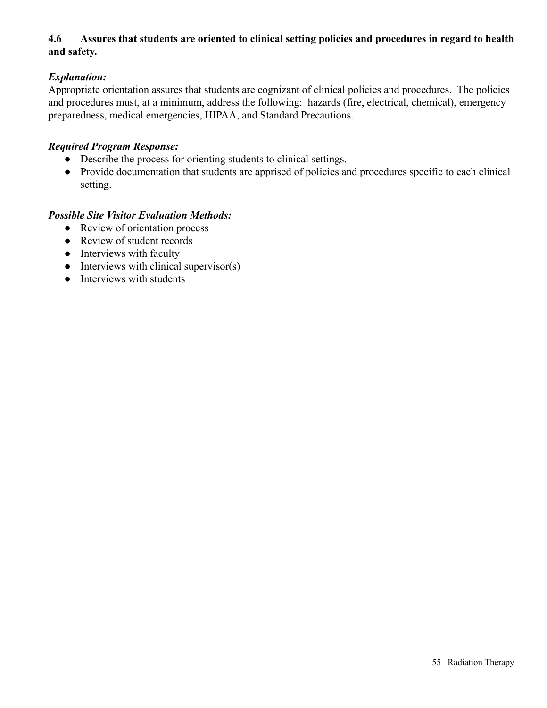# **4.6 Assures that students are oriented to clinical setting policies and procedures in regard to health and safety.**

# *Explanation:*

Appropriate orientation assures that students are cognizant of clinical policies and procedures. The policies and procedures must, at a minimum, address the following: hazards (fire, electrical, chemical), emergency preparedness, medical emergencies, HIPAA, and Standard Precautions.

## *Required Program Response:*

- Describe the process for orienting students to clinical settings.
- Provide documentation that students are apprised of policies and procedures specific to each clinical setting.

- Review of orientation process
- Review of student records
- Interviews with faculty
- $\bullet$  Interviews with clinical supervisor(s)
- Interviews with students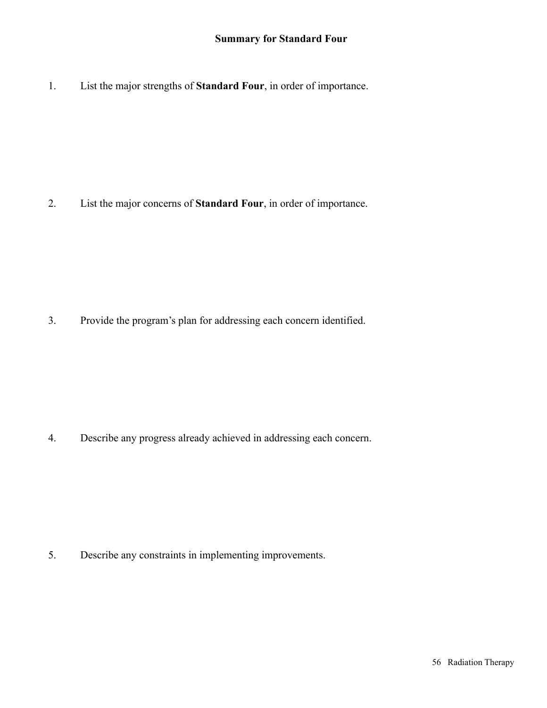1. List the major strengths of **Standard Four**, in order of importance.

2. List the major concerns of **Standard Four**, in order of importance.

3. Provide the program's plan for addressing each concern identified.

4. Describe any progress already achieved in addressing each concern.

5. Describe any constraints in implementing improvements.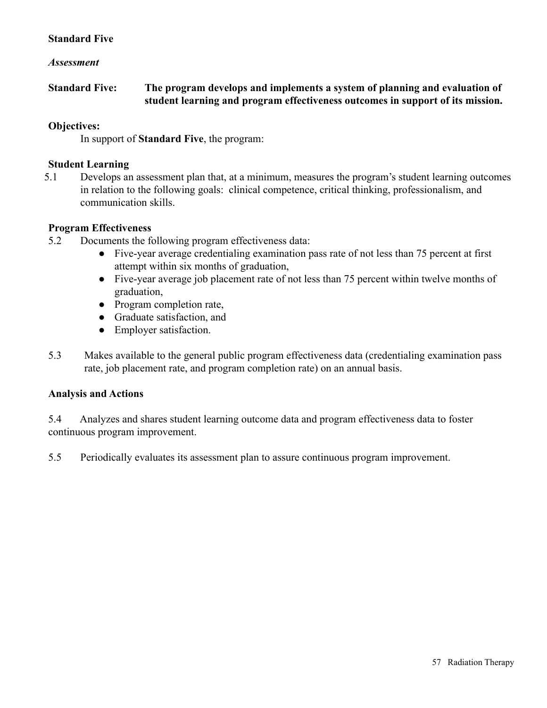# **Standard Five**

#### *Assessment*

# **Standard Five: The program develops and implements a system of planning and evaluation of student learning and program effectiveness outcomes in support of its mission.**

# **Objectives:**

In support of **Standard Five**, the program:

# **Student Learning**

5.1 Develops an assessment plan that, at a minimum, measures the program's student learning outcomes in relation to the following goals: clinical competence, critical thinking, professionalism, and communication skills.

# **Program Effectiveness**

- 5.2 Documents the following program effectiveness data:
	- Five-year average credentialing examination pass rate of not less than 75 percent at first attempt within six months of graduation,
	- Five-year average job placement rate of not less than 75 percent within twelve months of graduation,
	- Program completion rate,
	- Graduate satisfaction, and
	- Employer satisfaction.
- 5.3 Makes available to the general public program effectiveness data (credentialing examination pass rate, job placement rate, and program completion rate) on an annual basis.

# **Analysis and Actions**

5.4 Analyzes and shares student learning outcome data and program effectiveness data to foster continuous program improvement.

5.5 Periodically evaluates its assessment plan to assure continuous program improvement.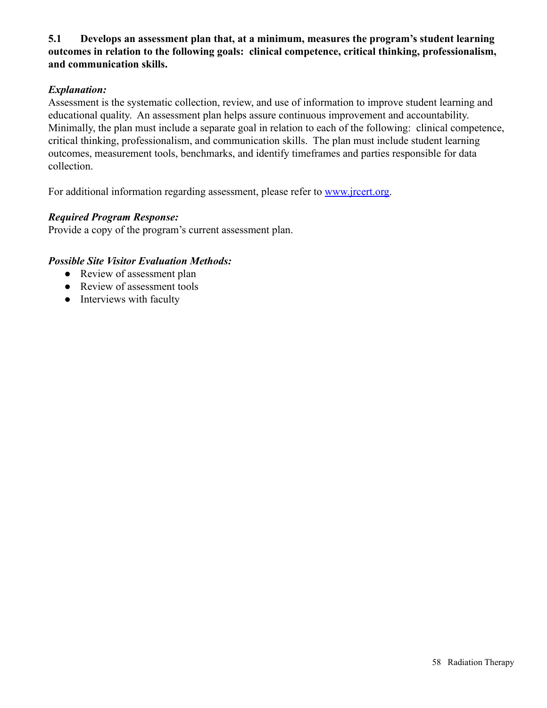# **5.1 Develops an assessment plan that, at a minimum, measures the program's student learning outcomes in relation to the following goals: clinical competence, critical thinking, professionalism, and communication skills.**

## *Explanation:*

Assessment is the systematic collection, review, and use of information to improve student learning and educational quality. An assessment plan helps assure continuous improvement and accountability. Minimally, the plan must include a separate goal in relation to each of the following: clinical competence, critical thinking, professionalism, and communication skills. The plan must include student learning outcomes, measurement tools, benchmarks, and identify timeframes and parties responsible for data collection.

For additional information regarding assessment, please refer to [www.jrcert.org.](http://www.jrcert.org)

## *Required Program Response:*

Provide a copy of the program's current assessment plan.

- Review of assessment plan
- Review of assessment tools
- Interviews with faculty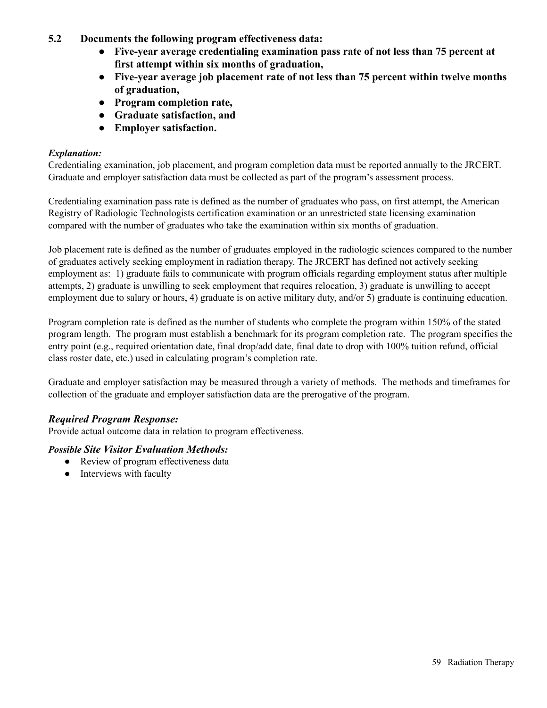- **5.2 Documents the following program effectiveness data:**
	- **Five-year average credentialing examination pass rate of not less than 75 percent at first attempt within six months of graduation,**
	- **Five-year average job placement rate of not less than 75 percent within twelve months of graduation,**
	- **Program completion rate,**
	- **Graduate satisfaction, and**
	- **Employer satisfaction.**

#### *Explanation:*

Credentialing examination, job placement, and program completion data must be reported annually to the JRCERT. Graduate and employer satisfaction data must be collected as part of the program's assessment process.

Credentialing examination pass rate is defined as the number of graduates who pass, on first attempt, the American Registry of Radiologic Technologists certification examination or an unrestricted state licensing examination compared with the number of graduates who take the examination within six months of graduation.

Job placement rate is defined as the number of graduates employed in the radiologic sciences compared to the number of graduates actively seeking employment in radiation therapy. The JRCERT has defined not actively seeking employment as: 1) graduate fails to communicate with program officials regarding employment status after multiple attempts, 2) graduate is unwilling to seek employment that requires relocation, 3) graduate is unwilling to accept employment due to salary or hours, 4) graduate is on active military duty, and/or 5) graduate is continuing education.

Program completion rate is defined as the number of students who complete the program within 150% of the stated program length. The program must establish a benchmark for its program completion rate. The program specifies the entry point (e.g., required orientation date, final drop/add date, final date to drop with 100% tuition refund, official class roster date, etc.) used in calculating program's completion rate.

Graduate and employer satisfaction may be measured through a variety of methods. The methods and timeframes for collection of the graduate and employer satisfaction data are the prerogative of the program.

#### *Required Program Response:*

Provide actual outcome data in relation to program effectiveness.

- Review of program effectiveness data
- Interviews with faculty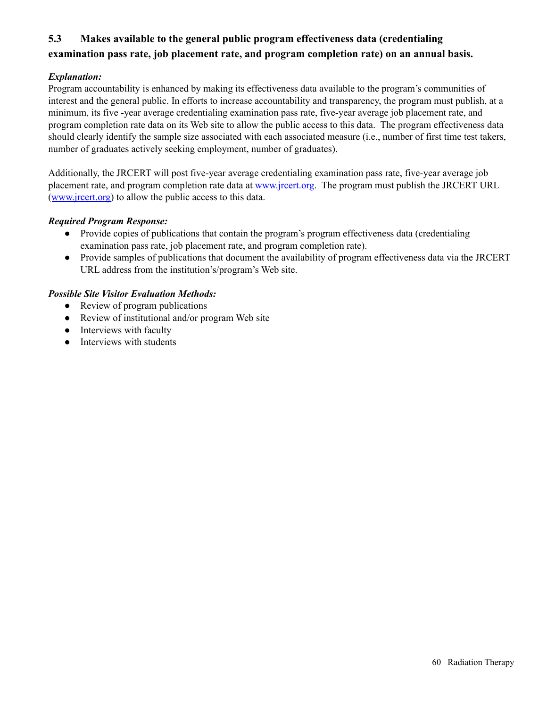# **5.3 Makes available to the general public program effectiveness data (credentialing examination pass rate, job placement rate, and program completion rate) on an annual basis.**

#### *Explanation:*

Program accountability is enhanced by making its effectiveness data available to the program's communities of interest and the general public. In efforts to increase accountability and transparency, the program must publish, at a minimum, its five -year average credentialing examination pass rate, five-year average job placement rate, and program completion rate data on its Web site to allow the public access to this data. The program effectiveness data should clearly identify the sample size associated with each associated measure (i.e., number of first time test takers, number of graduates actively seeking employment, number of graduates).

Additionally, the JRCERT will post five-year average credentialing examination pass rate, five-year average job placement rate, and program completion rate data at [www.jrcert.org.](http://www.jrcert.org) The program must publish the JRCERT URL ([www.jrcert.org\)](http://www.jrcert.org) to allow the public access to this data.

#### *Required Program Response:*

- Provide copies of publications that contain the program's program effectiveness data (credentialing examination pass rate, job placement rate, and program completion rate).
- Provide samples of publications that document the availability of program effectiveness data via the JRCERT URL address from the institution's/program's Web site.

- Review of program publications
- Review of institutional and/or program Web site
- Interviews with faculty
- Interviews with students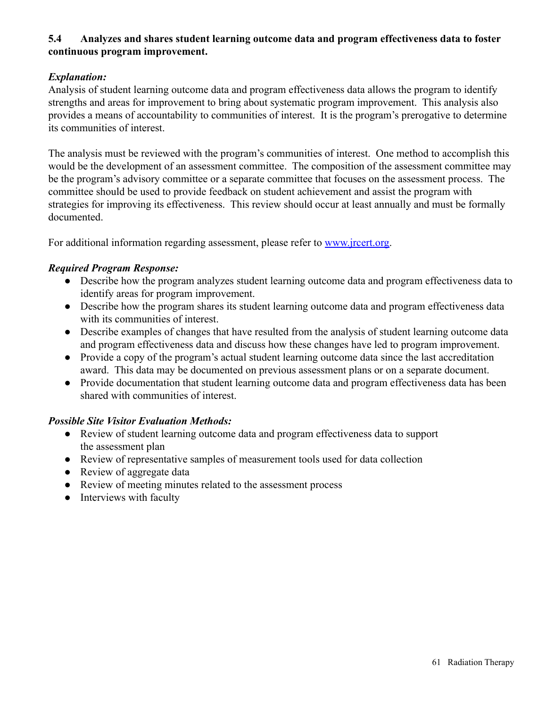# **5.4 Analyzes and shares student learning outcome data and program effectiveness data to foster continuous program improvement.**

# *Explanation:*

Analysis of student learning outcome data and program effectiveness data allows the program to identify strengths and areas for improvement to bring about systematic program improvement. This analysis also provides a means of accountability to communities of interest. It is the program's prerogative to determine its communities of interest.

The analysis must be reviewed with the program's communities of interest. One method to accomplish this would be the development of an assessment committee. The composition of the assessment committee may be the program's advisory committee or a separate committee that focuses on the assessment process. The committee should be used to provide feedback on student achievement and assist the program with strategies for improving its effectiveness. This review should occur at least annually and must be formally documented.

For additional information regarding assessment, please refer to [www.jrcert.org.](http://www.jrcert.org)

## *Required Program Response:*

- Describe how the program analyzes student learning outcome data and program effectiveness data to identify areas for program improvement.
- Describe how the program shares its student learning outcome data and program effectiveness data with its communities of interest.
- Describe examples of changes that have resulted from the analysis of student learning outcome data and program effectiveness data and discuss how these changes have led to program improvement.
- Provide a copy of the program's actual student learning outcome data since the last accreditation award. This data may be documented on previous assessment plans or on a separate document.
- Provide documentation that student learning outcome data and program effectiveness data has been shared with communities of interest.

- Review of student learning outcome data and program effectiveness data to support the assessment plan
- Review of representative samples of measurement tools used for data collection
- Review of aggregate data
- Review of meeting minutes related to the assessment process
- Interviews with faculty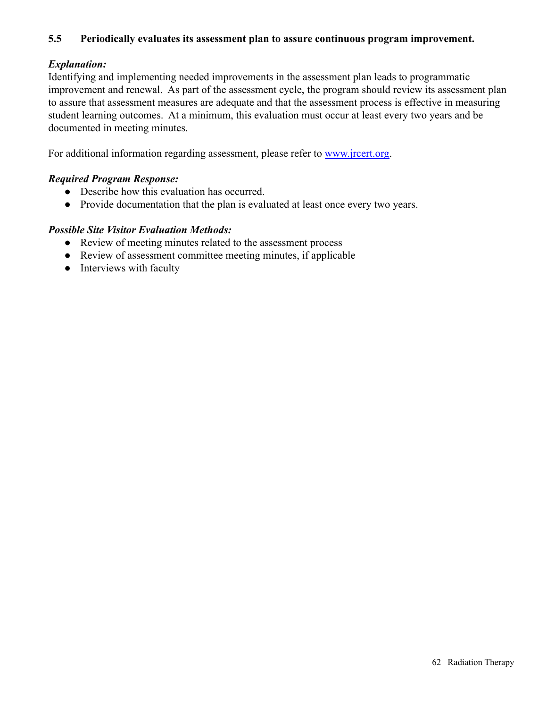## **5.5 Periodically evaluates its assessment plan to assure continuous program improvement.**

# *Explanation:*

Identifying and implementing needed improvements in the assessment plan leads to programmatic improvement and renewal. As part of the assessment cycle, the program should review its assessment plan to assure that assessment measures are adequate and that the assessment process is effective in measuring student learning outcomes. At a minimum, this evaluation must occur at least every two years and be documented in meeting minutes.

For additional information regarding assessment, please refer to [www.jrcert.org.](http://www.jrcert.org)

### *Required Program Response:*

- Describe how this evaluation has occurred.
- Provide documentation that the plan is evaluated at least once every two years.

- Review of meeting minutes related to the assessment process
- Review of assessment committee meeting minutes, if applicable
- Interviews with faculty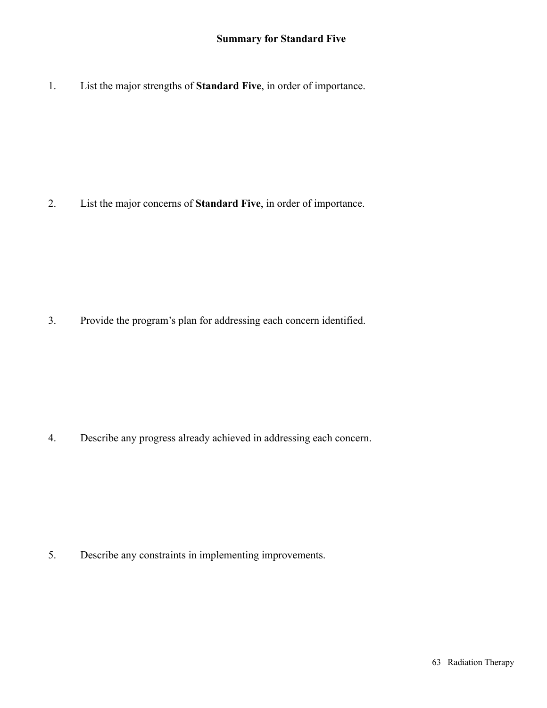1. List the major strengths of **Standard Five**, in order of importance.

2. List the major concerns of **Standard Five**, in order of importance.

3. Provide the program's plan for addressing each concern identified.

4. Describe any progress already achieved in addressing each concern.

5. Describe any constraints in implementing improvements.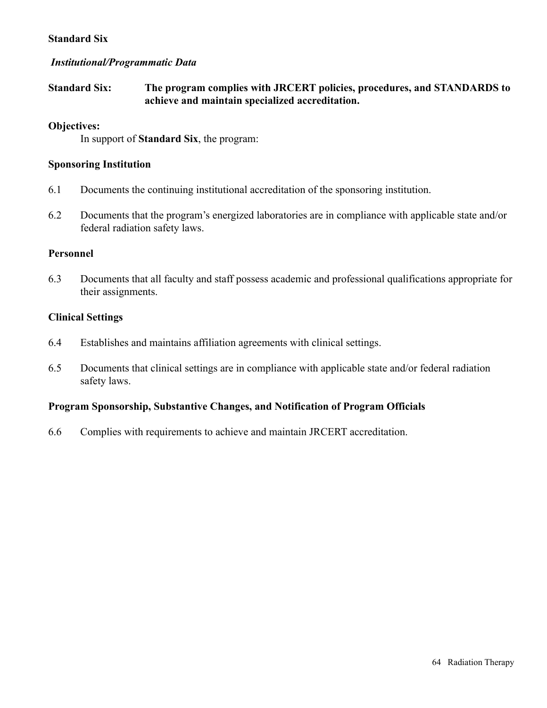## **Standard Six**

#### *Institutional/Programmatic Data*

## **Standard Six: The program complies with JRCERT policies, procedures, and STANDARDS to achieve and maintain specialized accreditation.**

#### **Objectives:**

In support of **Standard Six**, the program:

#### **Sponsoring Institution**

- 6.1 Documents the continuing institutional accreditation of the sponsoring institution.
- 6.2 Documents that the program's energized laboratories are in compliance with applicable state and/or federal radiation safety laws.

#### **Personnel**

6.3 Documents that all faculty and staff possess academic and professional qualifications appropriate for their assignments.

#### **Clinical Settings**

- 6.4 Establishes and maintains affiliation agreements with clinical settings.
- 6.5 Documents that clinical settings are in compliance with applicable state and/or federal radiation safety laws.

#### **Program Sponsorship, Substantive Changes, and Notification of Program Officials**

6.6 Complies with requirements to achieve and maintain JRCERT accreditation.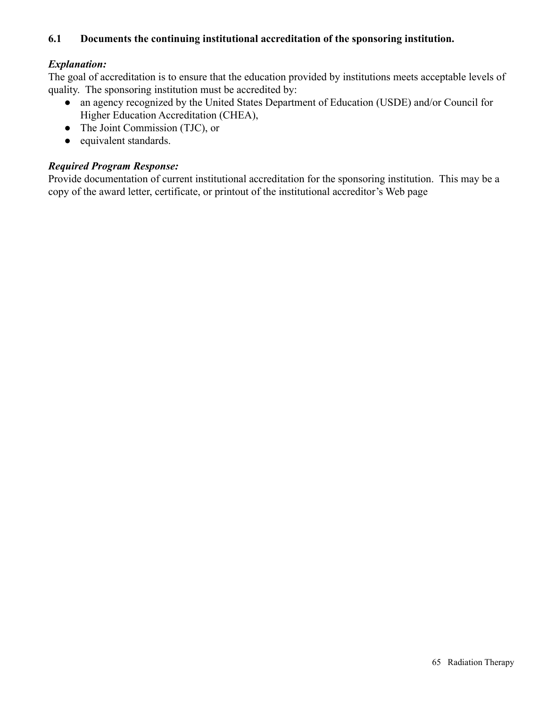# **6.1 Documents the continuing institutional accreditation of the sponsoring institution.**

## *Explanation:*

The goal of accreditation is to ensure that the education provided by institutions meets acceptable levels of quality. The sponsoring institution must be accredited by:

- an agency recognized by the United States Department of Education (USDE) and/or Council for Higher Education Accreditation (CHEA),
- The Joint Commission (TJC), or
- equivalent standards.

### *Required Program Response:*

Provide documentation of current institutional accreditation for the sponsoring institution. This may be a copy of the award letter, certificate, or printout of the institutional accreditor's Web page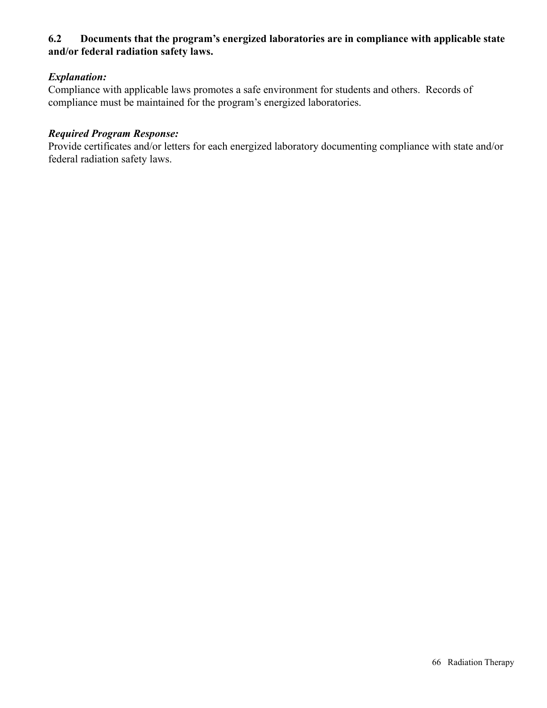# **6.2 Documents that the program's energized laboratories are in compliance with applicable state and/or federal radiation safety laws.**

# *Explanation:*

Compliance with applicable laws promotes a safe environment for students and others. Records of compliance must be maintained for the program's energized laboratories.

## *Required Program Response:*

Provide certificates and/or letters for each energized laboratory documenting compliance with state and/or federal radiation safety laws.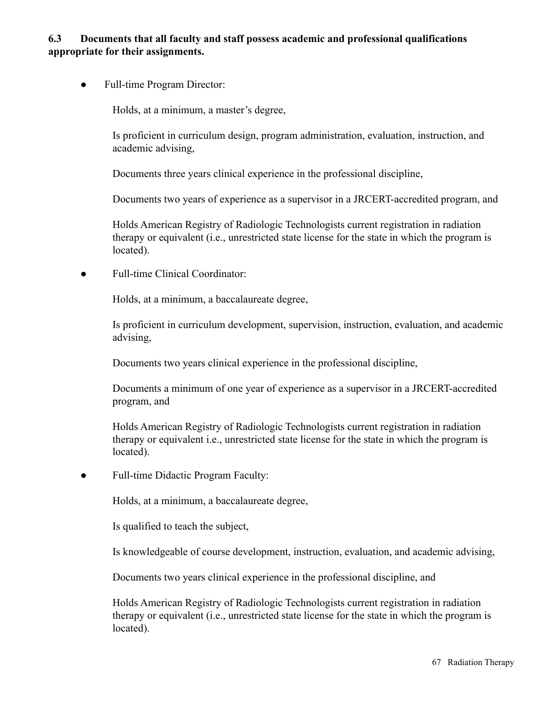# **6.3 Documents that all faculty and staff possess academic and professional qualifications appropriate for their assignments.**

• Full-time Program Director:

Holds, at a minimum, a master's degree,

Is proficient in curriculum design, program administration, evaluation, instruction, and academic advising,

Documents three years clinical experience in the professional discipline,

Documents two years of experience as a supervisor in a JRCERT-accredited program, and

Holds American Registry of Radiologic Technologists current registration in radiation therapy or equivalent (i.e., unrestricted state license for the state in which the program is located).

● Full-time Clinical Coordinator:

Holds, at a minimum, a baccalaureate degree,

Is proficient in curriculum development, supervision, instruction, evaluation, and academic advising,

Documents two years clinical experience in the professional discipline,

Documents a minimum of one year of experience as a supervisor in a JRCERT-accredited program, and

Holds American Registry of Radiologic Technologists current registration in radiation therapy or equivalent i.e., unrestricted state license for the state in which the program is located).

● Full-time Didactic Program Faculty:

Holds, at a minimum, a baccalaureate degree,

Is qualified to teach the subject,

Is knowledgeable of course development, instruction, evaluation, and academic advising,

Documents two years clinical experience in the professional discipline, and

Holds American Registry of Radiologic Technologists current registration in radiation therapy or equivalent (i.e., unrestricted state license for the state in which the program is located).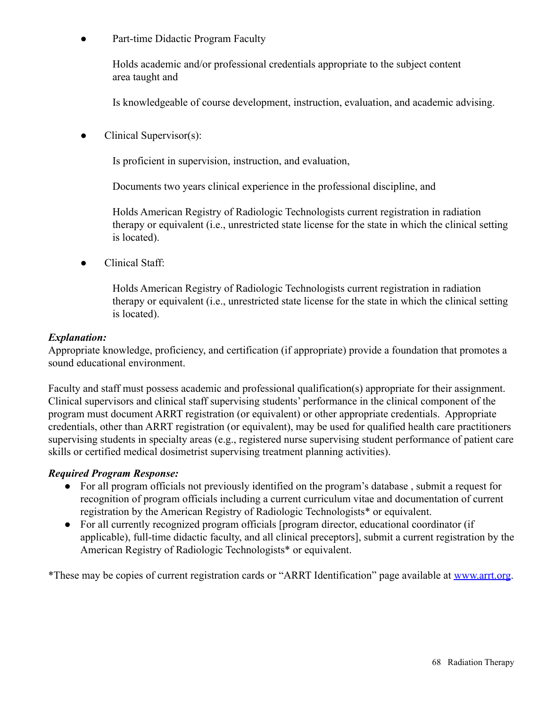Part-time Didactic Program Faculty

Holds academic and/or professional credentials appropriate to the subject content area taught and

Is knowledgeable of course development, instruction, evaluation, and academic advising.

Clinical Supervisor(s):

Is proficient in supervision, instruction, and evaluation,

Documents two years clinical experience in the professional discipline, and

Holds American Registry of Radiologic Technologists current registration in radiation therapy or equivalent (i.e., unrestricted state license for the state in which the clinical setting is located).

● Clinical Staff:

Holds American Registry of Radiologic Technologists current registration in radiation therapy or equivalent (i.e., unrestricted state license for the state in which the clinical setting is located).

#### *Explanation:*

Appropriate knowledge, proficiency, and certification (if appropriate) provide a foundation that promotes a sound educational environment.

Faculty and staff must possess academic and professional qualification(s) appropriate for their assignment. Clinical supervisors and clinical staff supervising students' performance in the clinical component of the program must document ARRT registration (or equivalent) or other appropriate credentials. Appropriate credentials, other than ARRT registration (or equivalent), may be used for qualified health care practitioners supervising students in specialty areas (e.g., registered nurse supervising student performance of patient care skills or certified medical dosimetrist supervising treatment planning activities).

#### *Required Program Response:*

- For all program officials not previously identified on the program's database , submit a request for recognition of program officials including a current curriculum vitae and documentation of current registration by the American Registry of Radiologic Technologists\* or equivalent.
- For all currently recognized program officials [program director, educational coordinator (if applicable), full-time didactic faculty, and all clinical preceptors], submit a current registration by the American Registry of Radiologic Technologists\* or equivalent.

\*These may be copies of current registration cards or "ARRT Identification" page available at [www.arrt.org](http://www.arrt.org).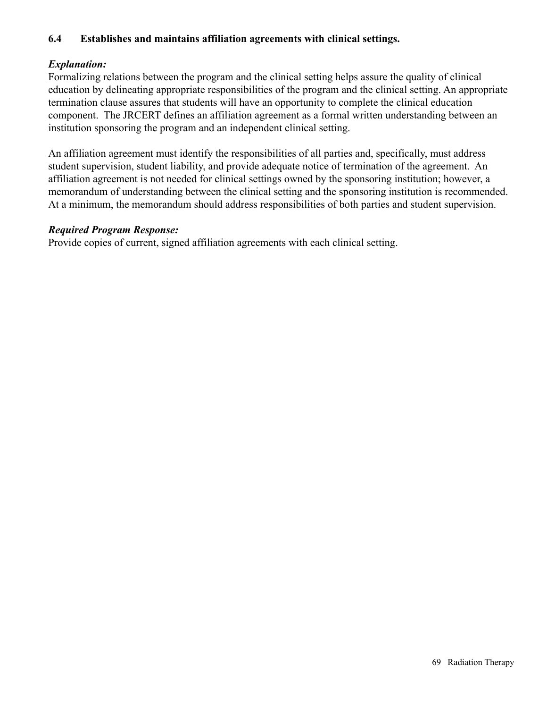# **6.4 Establishes and maintains affiliation agreements with clinical settings.**

# *Explanation:*

Formalizing relations between the program and the clinical setting helps assure the quality of clinical education by delineating appropriate responsibilities of the program and the clinical setting. An appropriate termination clause assures that students will have an opportunity to complete the clinical education component. The JRCERT defines an affiliation agreement as a formal written understanding between an institution sponsoring the program and an independent clinical setting.

An affiliation agreement must identify the responsibilities of all parties and, specifically, must address student supervision, student liability, and provide adequate notice of termination of the agreement. An affiliation agreement is not needed for clinical settings owned by the sponsoring institution; however, a memorandum of understanding between the clinical setting and the sponsoring institution is recommended. At a minimum, the memorandum should address responsibilities of both parties and student supervision.

## *Required Program Response:*

Provide copies of current, signed affiliation agreements with each clinical setting.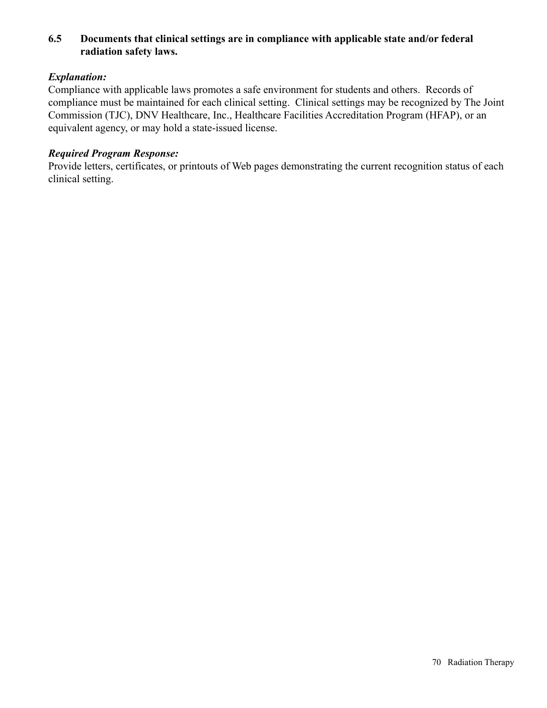# **6.5 Documents that clinical settings are in compliance with applicable state and/or federal radiation safety laws.**

## *Explanation:*

Compliance with applicable laws promotes a safe environment for students and others. Records of compliance must be maintained for each clinical setting. Clinical settings may be recognized by The Joint Commission (TJC), DNV Healthcare, Inc., Healthcare Facilities Accreditation Program (HFAP), or an equivalent agency, or may hold a state-issued license.

# *Required Program Response:*

Provide letters, certificates, or printouts of Web pages demonstrating the current recognition status of each clinical setting.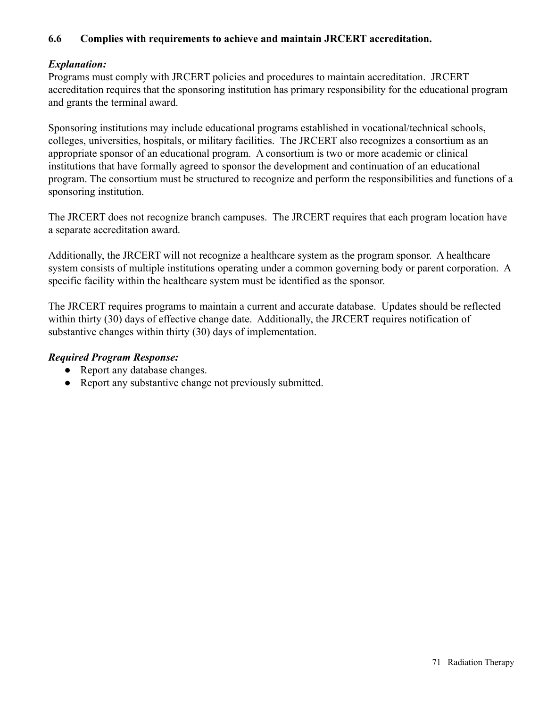# **6.6 Complies with requirements to achieve and maintain JRCERT accreditation.**

# *Explanation:*

Programs must comply with JRCERT policies and procedures to maintain accreditation. JRCERT accreditation requires that the sponsoring institution has primary responsibility for the educational program and grants the terminal award.

Sponsoring institutions may include educational programs established in vocational/technical schools, colleges, universities, hospitals, or military facilities. The JRCERT also recognizes a consortium as an appropriate sponsor of an educational program. A consortium is two or more academic or clinical institutions that have formally agreed to sponsor the development and continuation of an educational program. The consortium must be structured to recognize and perform the responsibilities and functions of a sponsoring institution.

The JRCERT does not recognize branch campuses. The JRCERT requires that each program location have a separate accreditation award.

Additionally, the JRCERT will not recognize a healthcare system as the program sponsor. A healthcare system consists of multiple institutions operating under a common governing body or parent corporation. A specific facility within the healthcare system must be identified as the sponsor.

The JRCERT requires programs to maintain a current and accurate database. Updates should be reflected within thirty (30) days of effective change date. Additionally, the JRCERT requires notification of substantive changes within thirty (30) days of implementation.

# *Required Program Response:*

- Report any database changes.
- Report any substantive change not previously submitted.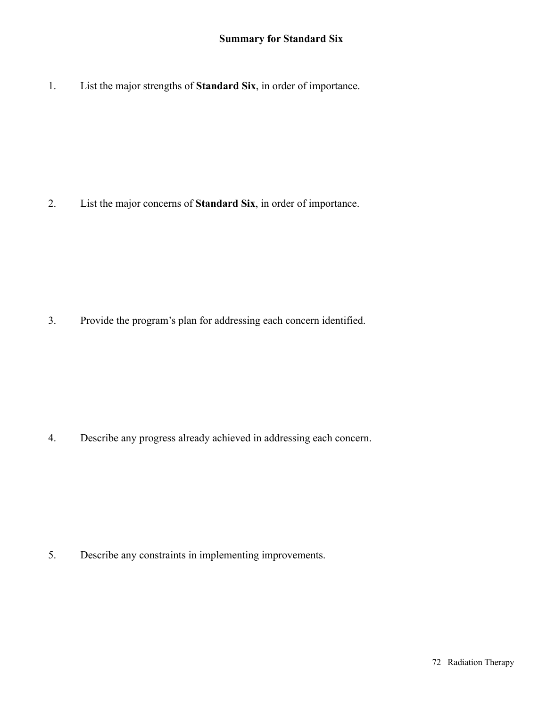1. List the major strengths of **Standard Six**, in order of importance.

2. List the major concerns of **Standard Six**, in order of importance.

3. Provide the program's plan for addressing each concern identified.

4. Describe any progress already achieved in addressing each concern.

5. Describe any constraints in implementing improvements.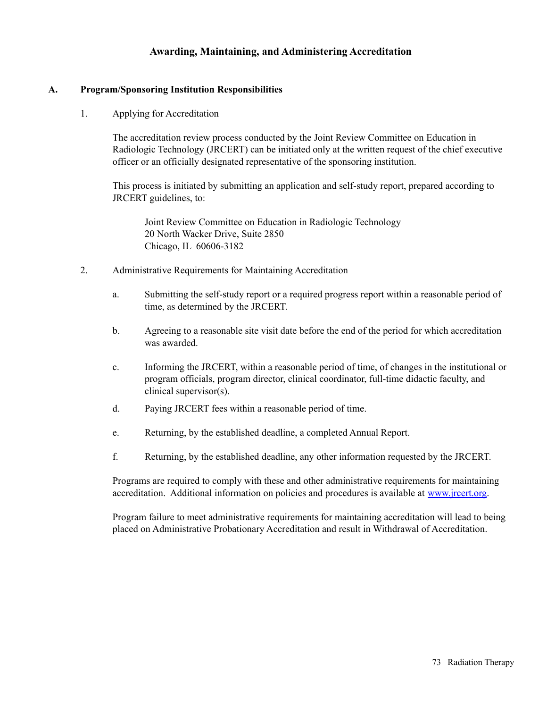## **Awarding, Maintaining, and Administering Accreditation**

## **A. Program/Sponsoring Institution Responsibilities**

1. Applying for Accreditation

The accreditation review process conducted by the Joint Review Committee on Education in Radiologic Technology (JRCERT) can be initiated only at the written request of the chief executive officer or an officially designated representative of the sponsoring institution.

This process is initiated by submitting an application and self-study report, prepared according to JRCERT guidelines, to:

Joint Review Committee on Education in Radiologic Technology 20 North Wacker Drive, Suite 2850 Chicago, IL 60606-3182

- 2. Administrative Requirements for Maintaining Accreditation
	- a. Submitting the self-study report or a required progress report within a reasonable period of time, as determined by the JRCERT.
	- b. Agreeing to a reasonable site visit date before the end of the period for which accreditation was awarded.
	- c. Informing the JRCERT, within a reasonable period of time, of changes in the institutional or program officials, program director, clinical coordinator, full-time didactic faculty, and clinical supervisor(s).
	- d. Paying JRCERT fees within a reasonable period of time.
	- e. Returning, by the established deadline, a completed Annual Report.
	- f. Returning, by the established deadline, any other information requested by the JRCERT.

Programs are required to comply with these and other administrative requirements for maintaining accreditation. Additional information on policies and procedures is available at [www.jrcert.org](http://www.jrcert.org).

Program failure to meet administrative requirements for maintaining accreditation will lead to being placed on Administrative Probationary Accreditation and result in Withdrawal of Accreditation.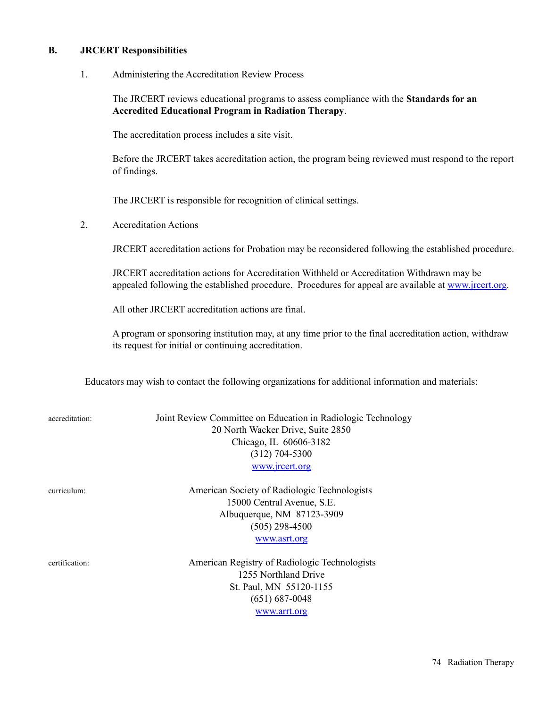## **B. JRCERT Responsibilities**

1. Administering the Accreditation Review Process

The JRCERT reviews educational programs to assess compliance with the **Standards for an Accredited Educational Program in Radiation Therapy**.

The accreditation process includes a site visit.

Before the JRCERT takes accreditation action, the program being reviewed must respond to the report of findings.

The JRCERT is responsible for recognition of clinical settings.

2. Accreditation Actions

JRCERT accreditation actions for Probation may be reconsidered following the established procedure.

JRCERT accreditation actions for Accreditation Withheld or Accreditation Withdrawn may be appealed following the established procedure. Procedures for appeal are available at [www.jrcert.org](http://www.jrcert.org).

All other JRCERT accreditation actions are final.

A program or sponsoring institution may, at any time prior to the final accreditation action, withdraw its request for initial or continuing accreditation.

Educators may wish to contact the following organizations for additional information and materials:

| accreditation: |  |
|----------------|--|

Joint Review Committee on Education in Radiologic Technology 20 North Wacker Drive, Suite 2850 Chicago, IL 60606-3182 (312) 704-5300 [www.jrcert.org](http://www.jrcert.org)

curriculum: American Society of Radiologic Technologists 15000 Central Avenue, S.E. Albuquerque, NM 87123-3909 (505) 298-4500 [www.asrt.org](http://www.asrt.org)

certification: American Registry of Radiologic Technologists 1255 Northland Drive St. Paul, MN 55120-1155 (651) 687-0048 [www.arrt.org](http://www.arrt.org)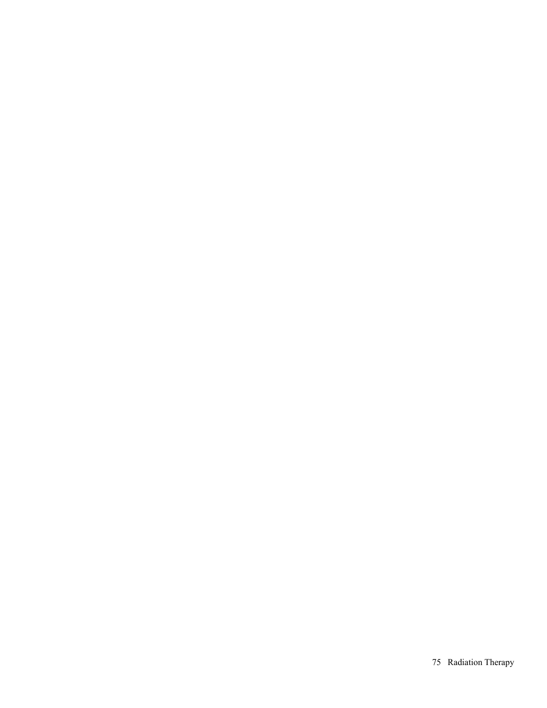Radiation Therapy